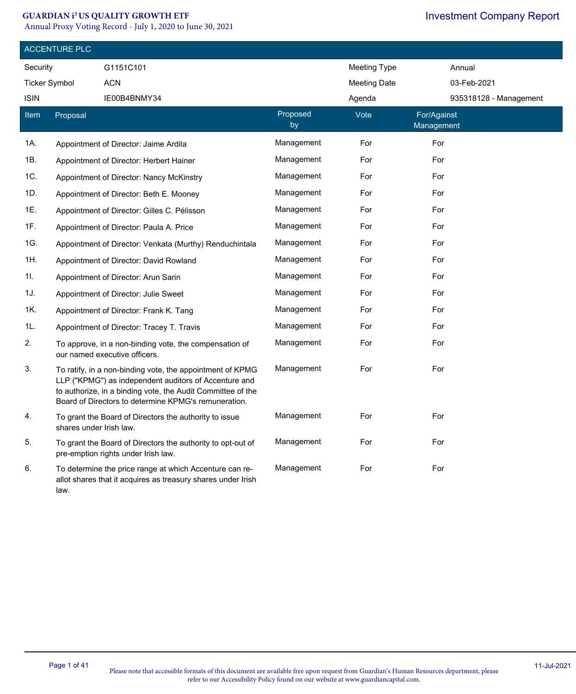#### **GUARDIAN i<sup>3</sup>US QUALITY GROWTH ETF**

Annual Proxy Voting Record - July 1, 2020 to June 30, 2021

|                      | <b>ACCENTURE PLC</b>    |                                                                                                                                                                                                                                           |                |                     |                           |  |  |
|----------------------|-------------------------|-------------------------------------------------------------------------------------------------------------------------------------------------------------------------------------------------------------------------------------------|----------------|---------------------|---------------------------|--|--|
| Security             |                         | G1151C101                                                                                                                                                                                                                                 |                | <b>Meeting Type</b> | Annual                    |  |  |
| <b>Ticker Symbol</b> |                         | <b>ACN</b>                                                                                                                                                                                                                                |                | <b>Meeting Date</b> | 03-Feb-2021               |  |  |
| <b>ISIN</b>          |                         | IE00B4BNMY34                                                                                                                                                                                                                              |                | Agenda              | 935318128 - Management    |  |  |
| <b>Item</b>          | Proposal                |                                                                                                                                                                                                                                           | Proposed<br>by | Vote                | For/Against<br>Management |  |  |
| 1A.                  |                         | Appointment of Director: Jaime Ardila                                                                                                                                                                                                     | Management     | For                 | For                       |  |  |
| 1B.                  |                         | Appointment of Director: Herbert Hainer                                                                                                                                                                                                   | Management     | For                 | For                       |  |  |
| 1C.                  |                         | Appointment of Director: Nancy McKinstry                                                                                                                                                                                                  | Management     | For                 | For                       |  |  |
| 1D.                  |                         | Appointment of Director: Beth E. Mooney                                                                                                                                                                                                   | Management     | For                 | For                       |  |  |
| 1E.                  |                         | Appointment of Director: Gilles C. Pélisson                                                                                                                                                                                               | Management     | For                 | For                       |  |  |
| 1F.                  |                         | Appointment of Director: Paula A. Price                                                                                                                                                                                                   | Management     | For                 | For                       |  |  |
| 1G.                  |                         | Appointment of Director: Venkata (Murthy) Renduchintala                                                                                                                                                                                   | Management     | For                 | For                       |  |  |
| 1H.                  |                         | Appointment of Director: David Rowland                                                                                                                                                                                                    | Management     | For                 | For                       |  |  |
| 1I.                  |                         | Appointment of Director: Arun Sarin                                                                                                                                                                                                       | Management     | For                 | For                       |  |  |
| 1J.                  |                         | Appointment of Director: Julie Sweet                                                                                                                                                                                                      | Management     | For                 | For                       |  |  |
| 1K.                  |                         | Appointment of Director: Frank K. Tang                                                                                                                                                                                                    | Management     | For                 | For                       |  |  |
| 1L.                  |                         | Appointment of Director: Tracey T. Travis                                                                                                                                                                                                 | Management     | For                 | For                       |  |  |
| 2.                   |                         | To approve, in a non-binding vote, the compensation of<br>our named executive officers.                                                                                                                                                   | Management     | For                 | For                       |  |  |
| 3.                   |                         | To ratify, in a non-binding vote, the appointment of KPMG<br>LLP ("KPMG") as independent auditors of Accenture and<br>to authorize, in a binding vote, the Audit Committee of the<br>Board of Directors to determine KPMG's remuneration. | Management     | For                 | For                       |  |  |
| 4.                   | shares under Irish law. | To grant the Board of Directors the authority to issue                                                                                                                                                                                    | Management     | For                 | For                       |  |  |
| 5.                   |                         | To grant the Board of Directors the authority to opt-out of<br>pre-emption rights under Irish law.                                                                                                                                        | Management     | For                 | For                       |  |  |
| 6.                   | law.                    | To determine the price range at which Accenture can re-<br>allot shares that it acquires as treasury shares under Irish                                                                                                                   | Management     | For                 | For                       |  |  |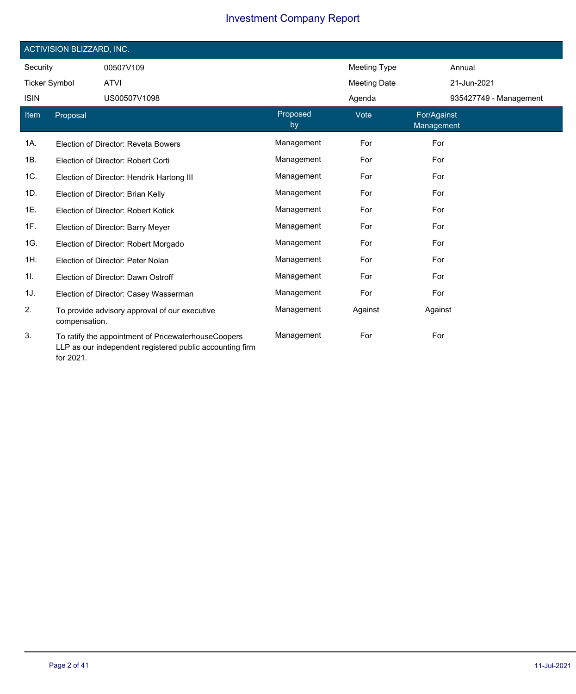|                      | ACTIVISION BLIZZARD, INC. |                                                                                                                 |                |                     |                           |                        |  |  |
|----------------------|---------------------------|-----------------------------------------------------------------------------------------------------------------|----------------|---------------------|---------------------------|------------------------|--|--|
| Security             |                           | 00507V109                                                                                                       |                | <b>Meeting Type</b> |                           | Annual                 |  |  |
| <b>Ticker Symbol</b> |                           | <b>ATVI</b>                                                                                                     |                | <b>Meeting Date</b> |                           | 21-Jun-2021            |  |  |
| <b>ISIN</b>          |                           | US00507V1098                                                                                                    |                | Agenda              |                           | 935427749 - Management |  |  |
| Item                 | Proposal                  |                                                                                                                 | Proposed<br>by | Vote                | For/Against<br>Management |                        |  |  |
| 1A.                  |                           | Election of Director: Reveta Bowers                                                                             | Management     | For                 | For                       |                        |  |  |
| 1B.                  |                           | Election of Director: Robert Corti                                                                              | Management     | For                 | For                       |                        |  |  |
| 1C.                  |                           | Election of Director: Hendrik Hartong III                                                                       | Management     | For                 | For                       |                        |  |  |
| 1D.                  |                           | Election of Director: Brian Kelly                                                                               | Management     | For                 | For                       |                        |  |  |
| 1E.                  |                           | Election of Director: Robert Kotick                                                                             | Management     | For                 | For                       |                        |  |  |
| 1F.                  |                           | Election of Director: Barry Meyer                                                                               | Management     | For                 | For                       |                        |  |  |
| 1G.                  |                           | Election of Director: Robert Morgado                                                                            | Management     | For                 | For                       |                        |  |  |
| 1H.                  |                           | Election of Director: Peter Nolan                                                                               | Management     | For                 | For                       |                        |  |  |
| 11.                  |                           | Election of Director: Dawn Ostroff                                                                              | Management     | For                 | For                       |                        |  |  |
| 1J.                  |                           | Election of Director: Casey Wasserman                                                                           | Management     | For                 | For                       |                        |  |  |
| 2.                   | compensation.             | To provide advisory approval of our executive                                                                   | Management     | Against             | Against                   |                        |  |  |
| 3.                   | for 2021.                 | To ratify the appointment of PricewaterhouseCoopers<br>LLP as our independent registered public accounting firm | Management     | For                 | For                       |                        |  |  |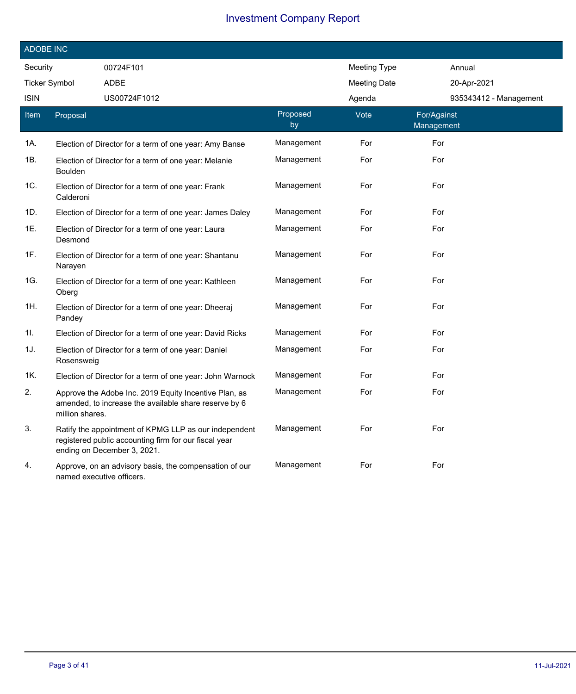|                      | <b>ADOBE INC</b> |                                                                                                                                               |                |                     |                           |  |  |  |
|----------------------|------------------|-----------------------------------------------------------------------------------------------------------------------------------------------|----------------|---------------------|---------------------------|--|--|--|
| Security             |                  | 00724F101                                                                                                                                     |                | <b>Meeting Type</b> | Annual                    |  |  |  |
| <b>Ticker Symbol</b> |                  | <b>ADBE</b>                                                                                                                                   |                | <b>Meeting Date</b> | 20-Apr-2021               |  |  |  |
| <b>ISIN</b>          |                  | US00724F1012                                                                                                                                  |                | Agenda              | 935343412 - Management    |  |  |  |
| Item                 | Proposal         |                                                                                                                                               | Proposed<br>by | Vote                | For/Against<br>Management |  |  |  |
| 1A.                  |                  | Election of Director for a term of one year: Amy Banse                                                                                        | Management     | For                 | For                       |  |  |  |
| 1B.                  | <b>Boulden</b>   | Election of Director for a term of one year: Melanie                                                                                          | Management     | For                 | For                       |  |  |  |
| 1C.                  | Calderoni        | Election of Director for a term of one year: Frank                                                                                            | Management     | For                 | For                       |  |  |  |
| 1D.                  |                  | Election of Director for a term of one year: James Daley                                                                                      | Management     | For                 | For                       |  |  |  |
| 1E.                  | Desmond          | Election of Director for a term of one year: Laura                                                                                            | Management     | For                 | For                       |  |  |  |
| 1F.                  | Narayen          | Election of Director for a term of one year: Shantanu                                                                                         | Management     | For                 | For                       |  |  |  |
| 1G.                  | Oberg            | Election of Director for a term of one year: Kathleen                                                                                         | Management     | For                 | For                       |  |  |  |
| 1H.                  | Pandey           | Election of Director for a term of one year: Dheeraj                                                                                          | Management     | For                 | For                       |  |  |  |
| 1I.                  |                  | Election of Director for a term of one year: David Ricks                                                                                      | Management     | For                 | For                       |  |  |  |
| 1J.                  | Rosensweig       | Election of Director for a term of one year: Daniel                                                                                           | Management     | For                 | For                       |  |  |  |
| 1K.                  |                  | Election of Director for a term of one year: John Warnock                                                                                     | Management     | For                 | For                       |  |  |  |
| 2.                   | million shares.  | Approve the Adobe Inc. 2019 Equity Incentive Plan, as<br>amended, to increase the available share reserve by 6                                | Management     | For                 | For                       |  |  |  |
| 3.                   |                  | Ratify the appointment of KPMG LLP as our independent<br>registered public accounting firm for our fiscal year<br>ending on December 3, 2021. | Management     | For                 | For                       |  |  |  |
| 4.                   |                  | Approve, on an advisory basis, the compensation of our<br>named executive officers.                                                           | Management     | For                 | For                       |  |  |  |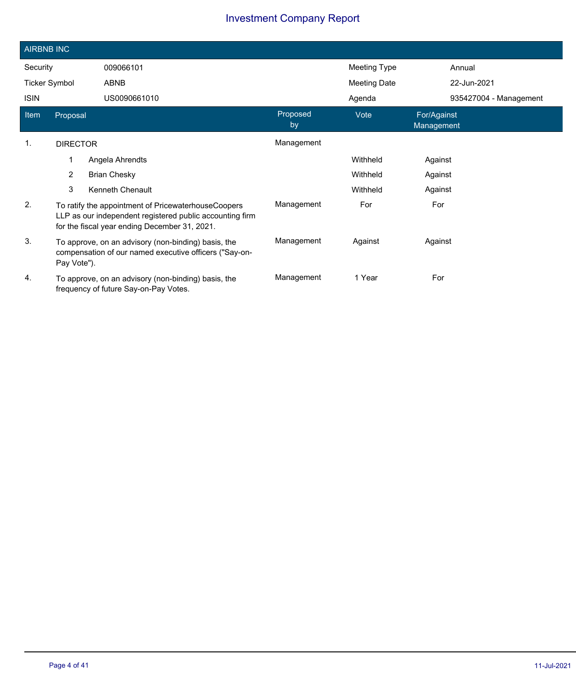|                      | <b>AIRBNB INC</b>                                                                                                                                                |                     |                |              |                           |                        |  |
|----------------------|------------------------------------------------------------------------------------------------------------------------------------------------------------------|---------------------|----------------|--------------|---------------------------|------------------------|--|
| Security             |                                                                                                                                                                  | 009066101           |                | Meeting Type |                           | Annual                 |  |
| <b>Ticker Symbol</b> |                                                                                                                                                                  | ABNB                |                | Meeting Date |                           | 22-Jun-2021            |  |
| <b>ISIN</b>          |                                                                                                                                                                  | US0090661010        |                | Agenda       |                           | 935427004 - Management |  |
| Item                 | Proposal                                                                                                                                                         |                     | Proposed<br>by | Vote         | For/Against<br>Management |                        |  |
| $\mathbf{1}$ .       | <b>DIRECTOR</b>                                                                                                                                                  |                     | Management     |              |                           |                        |  |
|                      | 1                                                                                                                                                                | Angela Ahrendts     |                | Withheld     | Against                   |                        |  |
|                      | $\overline{2}$                                                                                                                                                   | <b>Brian Chesky</b> |                | Withheld     | Against                   |                        |  |
|                      | 3                                                                                                                                                                | Kenneth Chenault    |                | Withheld     | Against                   |                        |  |
| 2.                   | To ratify the appointment of PricewaterhouseCoopers<br>LLP as our independent registered public accounting firm<br>for the fiscal year ending December 31, 2021. |                     | Management     | For          | For                       |                        |  |
| 3.                   | To approve, on an advisory (non-binding) basis, the<br>compensation of our named executive officers ("Say-on-<br>Pay Vote").                                     |                     | Management     | Against      | Against                   |                        |  |
| 4.                   | To approve, on an advisory (non-binding) basis, the<br>frequency of future Say-on-Pay Votes.                                                                     |                     | Management     | 1 Year       | For                       |                        |  |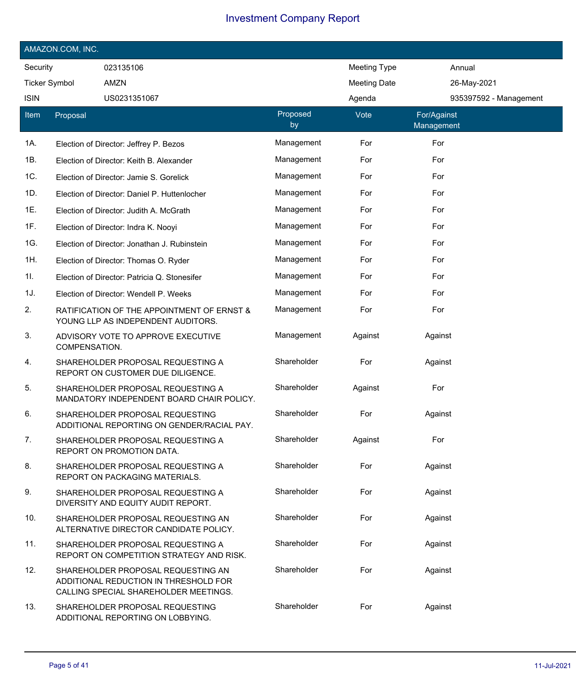| AMAZON.COM, INC.     |               |                                                                                                                      |                |                     |                           |  |
|----------------------|---------------|----------------------------------------------------------------------------------------------------------------------|----------------|---------------------|---------------------------|--|
| Security             |               | 023135106                                                                                                            |                | Meeting Type        | Annual                    |  |
| <b>Ticker Symbol</b> |               | AMZN                                                                                                                 |                | <b>Meeting Date</b> | 26-May-2021               |  |
| <b>ISIN</b>          |               | US0231351067                                                                                                         |                | Agenda              | 935397592 - Management    |  |
| Item                 | Proposal      |                                                                                                                      | Proposed<br>by | Vote                | For/Against<br>Management |  |
| 1A.                  |               | Election of Director: Jeffrey P. Bezos                                                                               | Management     | For                 | For                       |  |
| 1B.                  |               | Election of Director: Keith B. Alexander                                                                             | Management     | For                 | For                       |  |
| 1C.                  |               | Election of Director: Jamie S. Gorelick                                                                              | Management     | For                 | For                       |  |
| 1D.                  |               | Election of Director: Daniel P. Huttenlocher                                                                         | Management     | For                 | For                       |  |
| 1E.                  |               | Election of Director: Judith A. McGrath                                                                              | Management     | For                 | For                       |  |
| 1F.                  |               | Election of Director: Indra K. Nooyi                                                                                 | Management     | For                 | For                       |  |
| 1G.                  |               | Election of Director: Jonathan J. Rubinstein                                                                         | Management     | For                 | For                       |  |
| 1H.                  |               | Election of Director: Thomas O. Ryder                                                                                | Management     | For                 | For                       |  |
| 1I.                  |               | Election of Director: Patricia Q. Stonesifer                                                                         | Management     | For                 | For                       |  |
| 1J.                  |               | Election of Director: Wendell P. Weeks                                                                               | Management     | For                 | For                       |  |
| 2.                   |               | RATIFICATION OF THE APPOINTMENT OF ERNST &<br>YOUNG LLP AS INDEPENDENT AUDITORS.                                     | Management     | For                 | For                       |  |
| 3.                   | COMPENSATION. | ADVISORY VOTE TO APPROVE EXECUTIVE                                                                                   | Management     | Against             | Against                   |  |
| 4.                   |               | SHAREHOLDER PROPOSAL REQUESTING A<br>REPORT ON CUSTOMER DUE DILIGENCE.                                               | Shareholder    | For                 | Against                   |  |
| 5.                   |               | SHAREHOLDER PROPOSAL REQUESTING A<br>MANDATORY INDEPENDENT BOARD CHAIR POLICY.                                       | Shareholder    | Against             | For                       |  |
| 6.                   |               | SHAREHOLDER PROPOSAL REQUESTING<br>ADDITIONAL REPORTING ON GENDER/RACIAL PAY.                                        | Shareholder    | For                 | Against                   |  |
| 7.                   |               | SHAREHOLDER PROPOSAL REQUESTING A<br>REPORT ON PROMOTION DATA.                                                       | Shareholder    | Against             | For                       |  |
| 8.                   |               | SHAREHOLDER PROPOSAL REQUESTING A<br>REPORT ON PACKAGING MATERIALS.                                                  | Shareholder    | For                 | Against                   |  |
| 9.                   |               | SHAREHOLDER PROPOSAL REQUESTING A<br>DIVERSITY AND EQUITY AUDIT REPORT.                                              | Shareholder    | For                 | Against                   |  |
| 10.                  |               | SHAREHOLDER PROPOSAL REQUESTING AN<br>ALTERNATIVE DIRECTOR CANDIDATE POLICY.                                         | Shareholder    | For                 | Against                   |  |
| 11.                  |               | SHAREHOLDER PROPOSAL REQUESTING A<br>REPORT ON COMPETITION STRATEGY AND RISK.                                        | Shareholder    | For                 | Against                   |  |
| 12.                  |               | SHAREHOLDER PROPOSAL REQUESTING AN<br>ADDITIONAL REDUCTION IN THRESHOLD FOR<br>CALLING SPECIAL SHAREHOLDER MEETINGS. | Shareholder    | For                 | Against                   |  |
| 13.                  |               | SHAREHOLDER PROPOSAL REQUESTING<br>ADDITIONAL REPORTING ON LOBBYING.                                                 | Shareholder    | For                 | Against                   |  |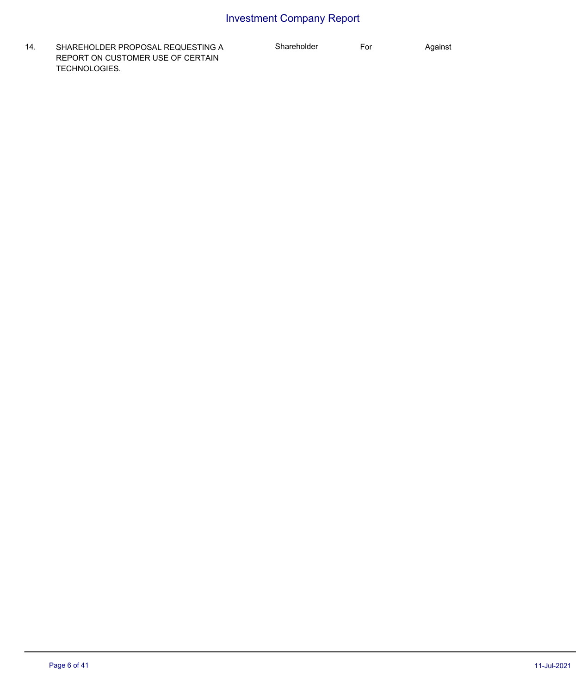14. SHAREHOLDER PROPOSAL REQUESTING A REPORT ON CUSTOMER USE OF CERTAIN TECHNOLOGIES.

Shareholder For Against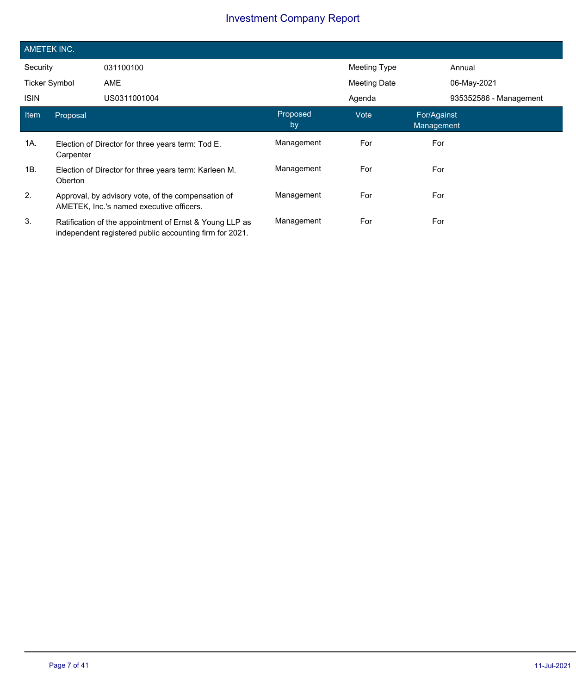|                      | <b>AMETEK INC.</b> |                                                                                                                    |                |              |                           |                        |  |  |
|----------------------|--------------------|--------------------------------------------------------------------------------------------------------------------|----------------|--------------|---------------------------|------------------------|--|--|
| Security             |                    | 031100100                                                                                                          |                | Meeting Type | Annual                    |                        |  |  |
| <b>Ticker Symbol</b> |                    | AME                                                                                                                |                | Meeting Date | 06-May-2021               |                        |  |  |
| <b>ISIN</b>          |                    | US0311001004                                                                                                       |                | Agenda       |                           | 935352586 - Management |  |  |
| Item                 | Proposal           |                                                                                                                    | Proposed<br>by | Vote         | For/Against<br>Management |                        |  |  |
| 1A.                  | Carpenter          | Election of Director for three years term: Tod E.                                                                  | Management     | For          | For                       |                        |  |  |
| 1B.                  | Oberton            | Election of Director for three years term: Karleen M.                                                              | Management     | For          | For                       |                        |  |  |
| 2.                   |                    | Approval, by advisory vote, of the compensation of<br>AMETEK, Inc.'s named executive officers.                     | Management     | For          | For                       |                        |  |  |
| 3.                   |                    | Ratification of the appointment of Ernst & Young LLP as<br>independent registered public accounting firm for 2021. | Management     | For          | For                       |                        |  |  |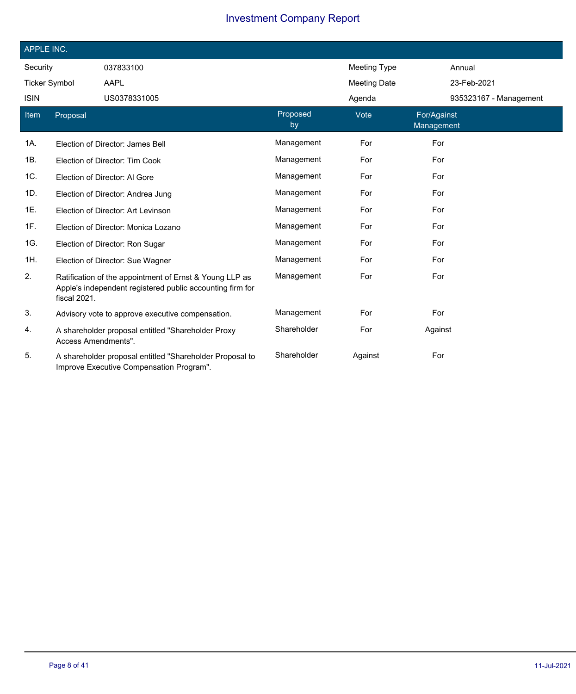| APPLE INC.           |                     |                                                                                                                      |                |                     |                           |  |
|----------------------|---------------------|----------------------------------------------------------------------------------------------------------------------|----------------|---------------------|---------------------------|--|
| Security             |                     | 037833100                                                                                                            |                | <b>Meeting Type</b> | Annual                    |  |
| <b>Ticker Symbol</b> |                     | AAPL                                                                                                                 |                | <b>Meeting Date</b> | 23-Feb-2021               |  |
| <b>ISIN</b>          |                     | US0378331005                                                                                                         |                | Agenda              | 935323167 - Management    |  |
| Item                 | Proposal            |                                                                                                                      | Proposed<br>by | Vote                | For/Against<br>Management |  |
| 1A.                  |                     | Election of Director: James Bell                                                                                     | Management     | For                 | For                       |  |
| 1B.                  |                     | Election of Director: Tim Cook                                                                                       | Management     | For                 | For                       |  |
| 1C.                  |                     | Election of Director: Al Gore                                                                                        | Management     | For                 | For                       |  |
| 1D.                  |                     | Election of Director: Andrea Jung                                                                                    | Management     | For                 | For                       |  |
| 1E.                  |                     | Election of Director: Art Levinson                                                                                   | Management     | For                 | For                       |  |
| 1F.                  |                     | Election of Director: Monica Lozano                                                                                  | Management     | For                 | For                       |  |
| 1G.                  |                     | Election of Director: Ron Sugar                                                                                      | Management     | For                 | For                       |  |
| 1H.                  |                     | Election of Director: Sue Wagner                                                                                     | Management     | For                 | For                       |  |
| 2.                   | fiscal 2021.        | Ratification of the appointment of Ernst & Young LLP as<br>Apple's independent registered public accounting firm for | Management     | For                 | For                       |  |
| 3.                   |                     | Advisory vote to approve executive compensation.                                                                     | Management     | For                 | For                       |  |
| 4.                   | Access Amendments". | A shareholder proposal entitled "Shareholder Proxy                                                                   | Shareholder    | For                 | Against                   |  |
| 5.                   |                     | A shareholder proposal entitled "Shareholder Proposal to<br>Improve Executive Compensation Program".                 | Shareholder    | Against             | For                       |  |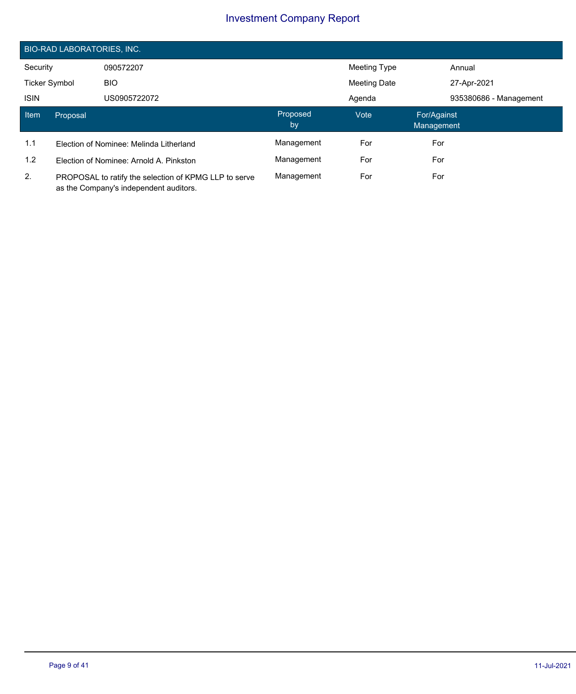|                      | <b>BIO-RAD LABORATORIES, INC.</b>                                                               |                                         |                |                     |                           |                        |  |  |
|----------------------|-------------------------------------------------------------------------------------------------|-----------------------------------------|----------------|---------------------|---------------------------|------------------------|--|--|
| Security             |                                                                                                 | 090572207                               |                | Meeting Type        |                           | Annual                 |  |  |
| <b>Ticker Symbol</b> |                                                                                                 | <b>BIO</b>                              |                | <b>Meeting Date</b> |                           | 27-Apr-2021            |  |  |
| <b>ISIN</b>          |                                                                                                 | US0905722072                            |                | Agenda              |                           | 935380686 - Management |  |  |
| Item                 | Proposal                                                                                        |                                         | Proposed<br>by | Vote                | For/Against<br>Management |                        |  |  |
| 1.1                  |                                                                                                 | Election of Nominee: Melinda Litherland | Management     | For                 | For                       |                        |  |  |
| 1.2                  | Election of Nominee: Arnold A. Pinkston                                                         |                                         | Management     | For                 | For                       |                        |  |  |
| 2.                   | PROPOSAL to ratify the selection of KPMG LLP to serve<br>as the Company's independent auditors. |                                         | Management     | For                 | For                       |                        |  |  |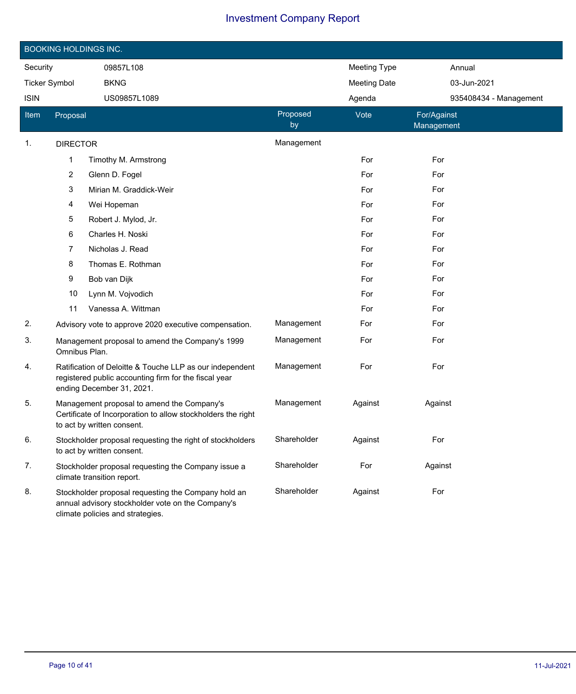|                      | <b>BOOKING HOLDINGS INC.</b> |                                                                                                                                                |                |                     |                           |  |  |
|----------------------|------------------------------|------------------------------------------------------------------------------------------------------------------------------------------------|----------------|---------------------|---------------------------|--|--|
| Security             |                              | 09857L108                                                                                                                                      |                | <b>Meeting Type</b> | Annual                    |  |  |
| <b>Ticker Symbol</b> |                              | <b>BKNG</b>                                                                                                                                    |                | <b>Meeting Date</b> | 03-Jun-2021               |  |  |
| <b>ISIN</b>          |                              | US09857L1089                                                                                                                                   |                | Agenda              | 935408434 - Management    |  |  |
| Item                 | Proposal                     |                                                                                                                                                | Proposed<br>by | Vote                | For/Against<br>Management |  |  |
| 1.                   | <b>DIRECTOR</b>              |                                                                                                                                                | Management     |                     |                           |  |  |
|                      | 1                            | Timothy M. Armstrong                                                                                                                           |                | For                 | For                       |  |  |
|                      | $\overline{c}$               | Glenn D. Fogel                                                                                                                                 |                | For                 | For                       |  |  |
|                      | 3                            | Mirian M. Graddick-Weir                                                                                                                        |                | For                 | For                       |  |  |
|                      | 4                            | Wei Hopeman                                                                                                                                    |                | For                 | For                       |  |  |
|                      | 5                            | Robert J. Mylod, Jr.                                                                                                                           |                | For                 | For                       |  |  |
|                      | 6                            | Charles H. Noski                                                                                                                               |                | For                 | For                       |  |  |
|                      | 7                            | Nicholas J. Read                                                                                                                               |                | For                 | For                       |  |  |
|                      | 8                            | Thomas E. Rothman                                                                                                                              |                | For                 | For                       |  |  |
|                      | 9                            | Bob van Dijk                                                                                                                                   |                | For                 | For                       |  |  |
|                      | 10                           | Lynn M. Vojvodich                                                                                                                              |                | For                 | For                       |  |  |
|                      | 11                           | Vanessa A. Wittman                                                                                                                             |                | For                 | For                       |  |  |
| 2.                   |                              | Advisory vote to approve 2020 executive compensation.                                                                                          | Management     | For                 | For                       |  |  |
| 3.                   | Omnibus Plan.                | Management proposal to amend the Company's 1999                                                                                                | Management     | For                 | For                       |  |  |
| 4.                   |                              | Ratification of Deloitte & Touche LLP as our independent<br>registered public accounting firm for the fiscal year<br>ending December 31, 2021. | Management     | For                 | For                       |  |  |
| 5.                   |                              | Management proposal to amend the Company's<br>Certificate of Incorporation to allow stockholders the right<br>to act by written consent.       | Management     | Against             | Against                   |  |  |
| 6.                   |                              | Stockholder proposal requesting the right of stockholders<br>to act by written consent.                                                        | Shareholder    | Against             | For                       |  |  |
| 7.                   |                              | Stockholder proposal requesting the Company issue a<br>climate transition report.                                                              | Shareholder    | For                 | Against                   |  |  |
| 8.                   |                              | Stockholder proposal requesting the Company hold an<br>annual advisory stockholder vote on the Company's<br>climate policies and strategies.   | Shareholder    | Against             | For                       |  |  |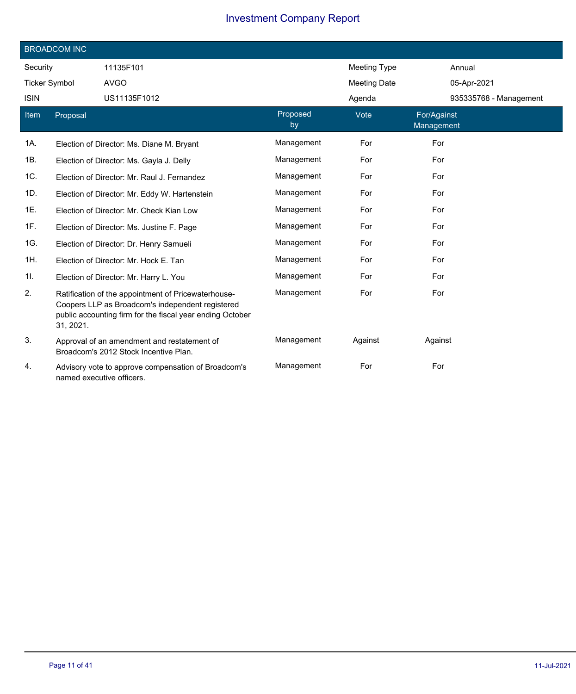|             | <b>BROADCOM INC</b>  |                                                                                                                                                                      |                |                     |                           |  |  |  |
|-------------|----------------------|----------------------------------------------------------------------------------------------------------------------------------------------------------------------|----------------|---------------------|---------------------------|--|--|--|
| Security    |                      | 11135F101                                                                                                                                                            |                | Meeting Type        | Annual                    |  |  |  |
|             | <b>Ticker Symbol</b> | <b>AVGO</b>                                                                                                                                                          |                | <b>Meeting Date</b> | 05-Apr-2021               |  |  |  |
| <b>ISIN</b> |                      | US11135F1012                                                                                                                                                         |                | Agenda              | 935335768 - Management    |  |  |  |
| Item        | Proposal             |                                                                                                                                                                      | Proposed<br>by | Vote                | For/Against<br>Management |  |  |  |
| 1A.         |                      | Election of Director: Ms. Diane M. Bryant                                                                                                                            | Management     | For                 | For                       |  |  |  |
| 1B.         |                      | Election of Director: Ms. Gayla J. Delly                                                                                                                             | Management     | For                 | For                       |  |  |  |
| 1C.         |                      | Election of Director: Mr. Raul J. Fernandez                                                                                                                          | Management     | For                 | For                       |  |  |  |
| 1D.         |                      | Election of Director: Mr. Eddy W. Hartenstein                                                                                                                        | Management     | For                 | For                       |  |  |  |
| 1E.         |                      | Election of Director: Mr. Check Kian Low                                                                                                                             | Management     | For                 | For                       |  |  |  |
| 1F.         |                      | Election of Director: Ms. Justine F. Page                                                                                                                            | Management     | For                 | For                       |  |  |  |
| 1G.         |                      | Election of Director: Dr. Henry Samueli                                                                                                                              | Management     | For                 | For                       |  |  |  |
| 1H.         |                      | Election of Director: Mr. Hock E. Tan                                                                                                                                | Management     | For                 | For                       |  |  |  |
| 1I.         |                      | Election of Director: Mr. Harry L. You                                                                                                                               | Management     | For                 | For                       |  |  |  |
| 2.          | 31, 2021.            | Ratification of the appointment of Pricewaterhouse-<br>Coopers LLP as Broadcom's independent registered<br>public accounting firm for the fiscal year ending October | Management     | For                 | For                       |  |  |  |
| 3.          |                      | Approval of an amendment and restatement of<br>Broadcom's 2012 Stock Incentive Plan.                                                                                 | Management     | Against             | Against                   |  |  |  |
| 4.          |                      | Advisory vote to approve compensation of Broadcom's<br>named executive officers.                                                                                     | Management     | For                 | For                       |  |  |  |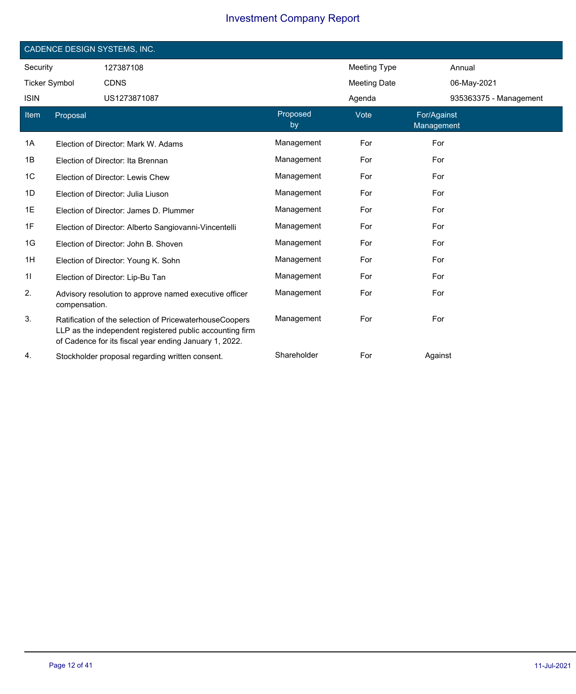|                      | CADENCE DESIGN SYSTEMS, INC. |                                                                                                                                                                               |                |                     |                           |                        |  |
|----------------------|------------------------------|-------------------------------------------------------------------------------------------------------------------------------------------------------------------------------|----------------|---------------------|---------------------------|------------------------|--|
| Security             |                              | 127387108                                                                                                                                                                     |                | <b>Meeting Type</b> |                           | Annual                 |  |
| <b>Ticker Symbol</b> |                              | <b>CDNS</b>                                                                                                                                                                   |                | <b>Meeting Date</b> |                           | 06-May-2021            |  |
| <b>ISIN</b>          |                              | US1273871087                                                                                                                                                                  |                | Agenda              |                           | 935363375 - Management |  |
| <b>Item</b>          | Proposal                     |                                                                                                                                                                               | Proposed<br>by | Vote                | For/Against<br>Management |                        |  |
| 1A                   |                              | Election of Director: Mark W. Adams                                                                                                                                           | Management     | For                 | For                       |                        |  |
| 1Β                   |                              | Election of Director: Ita Brennan                                                                                                                                             | Management     | For                 | For                       |                        |  |
| 1C                   |                              | Election of Director: Lewis Chew                                                                                                                                              | Management     | For                 | For                       |                        |  |
| 1D                   |                              | Election of Director: Julia Liuson                                                                                                                                            | Management     | For                 | For                       |                        |  |
| 1E                   |                              | Election of Director: James D. Plummer                                                                                                                                        | Management     | For                 | For                       |                        |  |
| 1F                   |                              | Election of Director: Alberto Sangiovanni-Vincentelli                                                                                                                         | Management     | For                 | For                       |                        |  |
| 1G                   |                              | Election of Director: John B. Shoven                                                                                                                                          | Management     | For                 | For                       |                        |  |
| 1H                   |                              | Election of Director: Young K. Sohn                                                                                                                                           | Management     | For                 | For                       |                        |  |
| 11                   |                              | Election of Director: Lip-Bu Tan                                                                                                                                              | Management     | For                 | For                       |                        |  |
| 2.                   | compensation.                | Advisory resolution to approve named executive officer                                                                                                                        | Management     | For                 | For                       |                        |  |
| 3.                   |                              | Ratification of the selection of PricewaterhouseCoopers<br>LLP as the independent registered public accounting firm<br>of Cadence for its fiscal year ending January 1, 2022. | Management     | For                 | For                       |                        |  |
| 4.                   |                              | Stockholder proposal regarding written consent.                                                                                                                               | Shareholder    | For                 | Against                   |                        |  |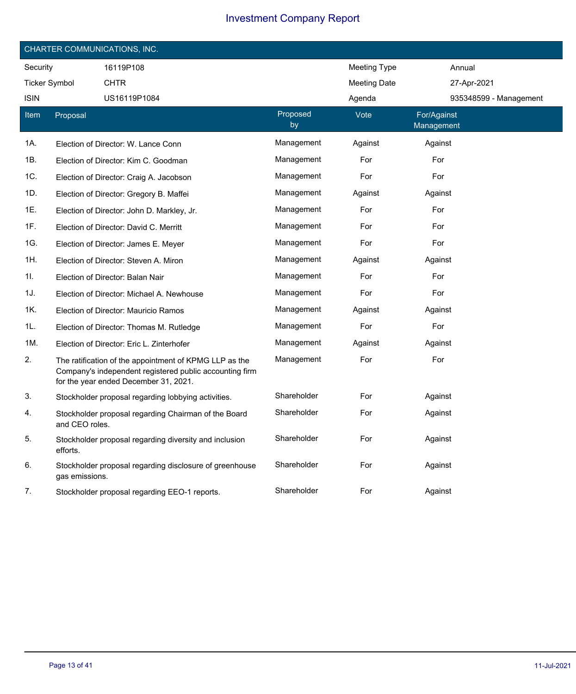| CHARTER COMMUNICATIONS, INC. |                |                                                                                                                                                            |                |                     |                           |                        |  |
|------------------------------|----------------|------------------------------------------------------------------------------------------------------------------------------------------------------------|----------------|---------------------|---------------------------|------------------------|--|
| Security                     |                | 16119P108                                                                                                                                                  |                | Meeting Type        |                           | Annual                 |  |
| <b>Ticker Symbol</b>         |                | <b>CHTR</b>                                                                                                                                                |                | <b>Meeting Date</b> |                           | 27-Apr-2021            |  |
| <b>ISIN</b>                  |                | US16119P1084                                                                                                                                               |                | Agenda              |                           | 935348599 - Management |  |
| Item                         | Proposal       |                                                                                                                                                            | Proposed<br>by | Vote                | For/Against<br>Management |                        |  |
| 1A.                          |                | Election of Director: W. Lance Conn                                                                                                                        | Management     | Against             | Against                   |                        |  |
| 1B.                          |                | Election of Director: Kim C. Goodman                                                                                                                       | Management     | For                 | For                       |                        |  |
| 1C.                          |                | Election of Director: Craig A. Jacobson                                                                                                                    | Management     | For                 | For                       |                        |  |
| 1D.                          |                | Election of Director: Gregory B. Maffei                                                                                                                    | Management     | Against             | Against                   |                        |  |
| 1E.                          |                | Election of Director: John D. Markley, Jr.                                                                                                                 | Management     | For                 | For                       |                        |  |
| 1F.                          |                | Election of Director: David C. Merritt                                                                                                                     | Management     | For                 | For                       |                        |  |
| 1G.                          |                | Election of Director: James E. Meyer                                                                                                                       | Management     | For                 | For                       |                        |  |
| 1H.                          |                | Election of Director: Steven A. Miron                                                                                                                      | Management     | Against             | Against                   |                        |  |
| 1I.                          |                | Election of Director: Balan Nair                                                                                                                           | Management     | For                 | For                       |                        |  |
| 1J.                          |                | Election of Director: Michael A. Newhouse                                                                                                                  | Management     | For                 | For                       |                        |  |
| 1K.                          |                | Election of Director: Mauricio Ramos                                                                                                                       | Management     | Against             | Against                   |                        |  |
| 1L.                          |                | Election of Director: Thomas M. Rutledge                                                                                                                   | Management     | For                 | For                       |                        |  |
| 1M.                          |                | Election of Director: Eric L. Zinterhofer                                                                                                                  | Management     | Against             | Against                   |                        |  |
| 2.                           |                | The ratification of the appointment of KPMG LLP as the<br>Company's independent registered public accounting firm<br>for the year ended December 31, 2021. | Management     | For                 | For                       |                        |  |
| 3.                           |                | Stockholder proposal regarding lobbying activities.                                                                                                        | Shareholder    | For                 | Against                   |                        |  |
| 4.                           | and CEO roles. | Stockholder proposal regarding Chairman of the Board                                                                                                       | Shareholder    | For                 | Against                   |                        |  |
| 5.                           | efforts.       | Stockholder proposal regarding diversity and inclusion                                                                                                     | Shareholder    | For                 | Against                   |                        |  |
| 6.                           | gas emissions. | Stockholder proposal regarding disclosure of greenhouse                                                                                                    | Shareholder    | For                 | Against                   |                        |  |
| 7.                           |                | Stockholder proposal regarding EEO-1 reports.                                                                                                              | Shareholder    | For                 | Against                   |                        |  |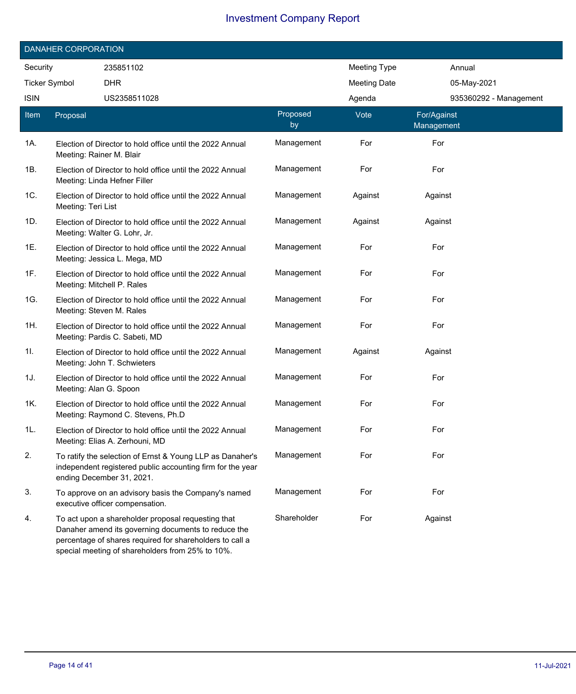|                      | DANAHER CORPORATION |                                                                                                                                                                                                                           |                |                     |                           |  |
|----------------------|---------------------|---------------------------------------------------------------------------------------------------------------------------------------------------------------------------------------------------------------------------|----------------|---------------------|---------------------------|--|
| Security             |                     | 235851102                                                                                                                                                                                                                 |                | <b>Meeting Type</b> | Annual                    |  |
| <b>Ticker Symbol</b> |                     | <b>DHR</b>                                                                                                                                                                                                                |                | <b>Meeting Date</b> | 05-May-2021               |  |
| <b>ISIN</b>          |                     | US2358511028                                                                                                                                                                                                              |                | Agenda              | 935360292 - Management    |  |
| Item                 | Proposal            |                                                                                                                                                                                                                           | Proposed<br>by | Vote                | For/Against<br>Management |  |
| 1A.                  |                     | Election of Director to hold office until the 2022 Annual<br>Meeting: Rainer M. Blair                                                                                                                                     | Management     | For                 | For                       |  |
| 1B.                  |                     | Election of Director to hold office until the 2022 Annual<br>Meeting: Linda Hefner Filler                                                                                                                                 | Management     | For                 | For                       |  |
| 1C.                  | Meeting: Teri List  | Election of Director to hold office until the 2022 Annual                                                                                                                                                                 | Management     | Against             | Against                   |  |
| 1D.                  |                     | Election of Director to hold office until the 2022 Annual<br>Meeting: Walter G. Lohr, Jr.                                                                                                                                 | Management     | Against             | Against                   |  |
| 1E.                  |                     | Election of Director to hold office until the 2022 Annual<br>Meeting: Jessica L. Mega, MD                                                                                                                                 | Management     | For                 | For                       |  |
| 1F.                  |                     | Election of Director to hold office until the 2022 Annual<br>Meeting: Mitchell P. Rales                                                                                                                                   | Management     | For                 | For                       |  |
| 1G.                  |                     | Election of Director to hold office until the 2022 Annual<br>Meeting: Steven M. Rales                                                                                                                                     | Management     | For                 | For                       |  |
| 1H.                  |                     | Election of Director to hold office until the 2022 Annual<br>Meeting: Pardis C. Sabeti, MD                                                                                                                                | Management     | For                 | For                       |  |
| 11.                  |                     | Election of Director to hold office until the 2022 Annual<br>Meeting: John T. Schwieters                                                                                                                                  | Management     | Against             | Against                   |  |
| 1J.                  |                     | Election of Director to hold office until the 2022 Annual<br>Meeting: Alan G. Spoon                                                                                                                                       | Management     | For                 | For                       |  |
| 1K.                  |                     | Election of Director to hold office until the 2022 Annual<br>Meeting: Raymond C. Stevens, Ph.D                                                                                                                            | Management     | For                 | For                       |  |
| 1L.                  |                     | Election of Director to hold office until the 2022 Annual<br>Meeting: Elias A. Zerhouni, MD                                                                                                                               | Management     | For                 | For                       |  |
| 2.                   |                     | To ratify the selection of Ernst & Young LLP as Danaher's<br>independent registered public accounting firm for the year<br>ending December 31, 2021.                                                                      | Management     | For                 | For                       |  |
| 3.                   |                     | To approve on an advisory basis the Company's named<br>executive officer compensation.                                                                                                                                    | Management     | For                 | For                       |  |
| 4.                   |                     | To act upon a shareholder proposal requesting that<br>Danaher amend its governing documents to reduce the<br>percentage of shares required for shareholders to call a<br>special meeting of shareholders from 25% to 10%. | Shareholder    | For                 | Against                   |  |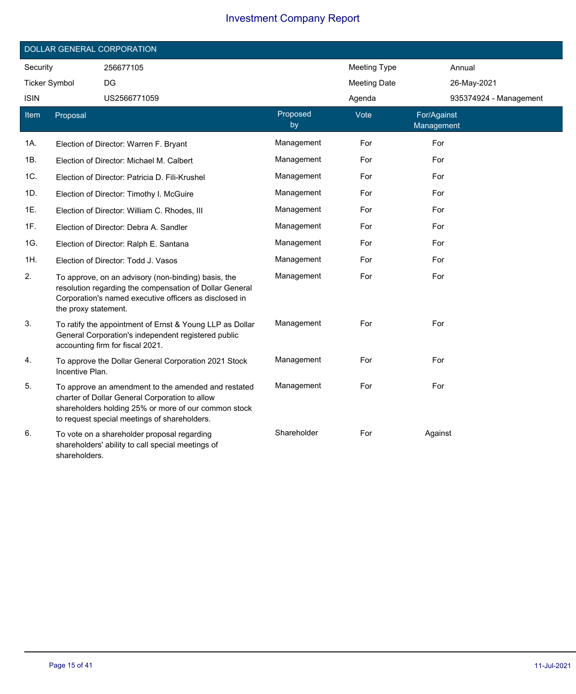|                      | DOLLAR GENERAL CORPORATION |                                                                                                                                                                                                               |                |                     |                           |                        |  |
|----------------------|----------------------------|---------------------------------------------------------------------------------------------------------------------------------------------------------------------------------------------------------------|----------------|---------------------|---------------------------|------------------------|--|
| Security             |                            | 256677105                                                                                                                                                                                                     |                | <b>Meeting Type</b> | Annual                    |                        |  |
| <b>Ticker Symbol</b> |                            | DG                                                                                                                                                                                                            |                | <b>Meeting Date</b> | 26-May-2021               |                        |  |
| <b>ISIN</b>          |                            | US2566771059                                                                                                                                                                                                  |                | Agenda              |                           | 935374924 - Management |  |
| Item                 | Proposal                   |                                                                                                                                                                                                               | Proposed<br>by | Vote                | For/Against<br>Management |                        |  |
| 1A.                  |                            | Election of Director: Warren F. Bryant                                                                                                                                                                        | Management     | For                 | For                       |                        |  |
| 1B.                  |                            | Election of Director: Michael M. Calbert                                                                                                                                                                      | Management     | For                 | For                       |                        |  |
| 1C.                  |                            | Election of Director: Patricia D. Fili-Krushel                                                                                                                                                                | Management     | For                 | For                       |                        |  |
| 1D.                  |                            | Election of Director: Timothy I. McGuire                                                                                                                                                                      | Management     | For                 | For                       |                        |  |
| 1E.                  |                            | Election of Director: William C. Rhodes, III                                                                                                                                                                  | Management     | For                 | For                       |                        |  |
| 1F.                  |                            | Election of Director: Debra A. Sandler                                                                                                                                                                        | Management     | For                 | For                       |                        |  |
| 1G.                  |                            | Election of Director: Ralph E. Santana                                                                                                                                                                        | Management     | For                 | For                       |                        |  |
| 1H.                  |                            | Election of Director: Todd J. Vasos                                                                                                                                                                           | Management     | For                 | For                       |                        |  |
| 2.                   | the proxy statement.       | To approve, on an advisory (non-binding) basis, the<br>resolution regarding the compensation of Dollar General<br>Corporation's named executive officers as disclosed in                                      | Management     | For                 | For                       |                        |  |
| 3.                   |                            | To ratify the appointment of Ernst & Young LLP as Dollar<br>General Corporation's independent registered public<br>accounting firm for fiscal 2021.                                                           | Management     | For                 | For                       |                        |  |
| 4.                   | Incentive Plan.            | To approve the Dollar General Corporation 2021 Stock                                                                                                                                                          | Management     | For                 | For                       |                        |  |
| 5.                   |                            | To approve an amendment to the amended and restated<br>charter of Dollar General Corporation to allow<br>shareholders holding 25% or more of our common stock<br>to request special meetings of shareholders. | Management     | For                 | For                       |                        |  |
| 6.                   | shareholders.              | To vote on a shareholder proposal regarding<br>shareholders' ability to call special meetings of                                                                                                              | Shareholder    | For                 | Against                   |                        |  |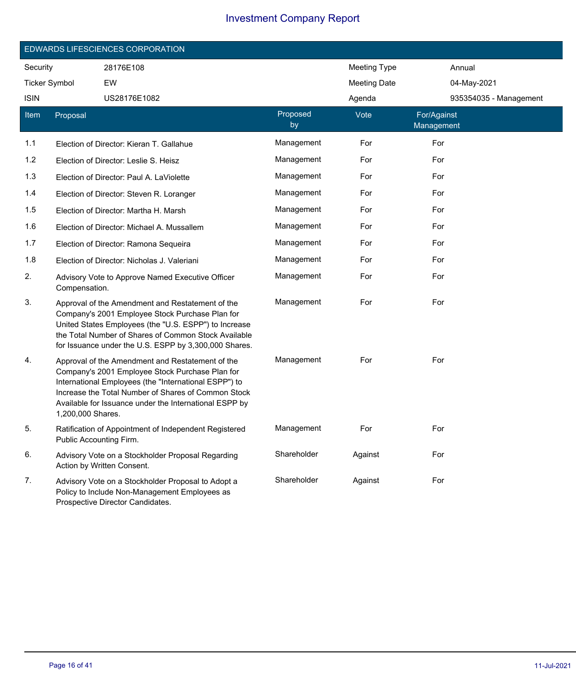|                      | EDWARDS LIFESCIENCES CORPORATION |                                                                                                                                                                                                                                                                               |                |                     |                           |  |
|----------------------|----------------------------------|-------------------------------------------------------------------------------------------------------------------------------------------------------------------------------------------------------------------------------------------------------------------------------|----------------|---------------------|---------------------------|--|
| Security             |                                  | 28176E108                                                                                                                                                                                                                                                                     |                | <b>Meeting Type</b> | Annual                    |  |
| <b>Ticker Symbol</b> |                                  | EW                                                                                                                                                                                                                                                                            |                | <b>Meeting Date</b> | 04-May-2021               |  |
| <b>ISIN</b>          |                                  | US28176E1082                                                                                                                                                                                                                                                                  |                | Agenda              | 935354035 - Management    |  |
| Item                 | Proposal                         |                                                                                                                                                                                                                                                                               | Proposed<br>by | Vote                | For/Against<br>Management |  |
| 1.1                  |                                  | Election of Director: Kieran T. Gallahue                                                                                                                                                                                                                                      | Management     | For                 | For                       |  |
| $1.2$                |                                  | Election of Director: Leslie S. Heisz                                                                                                                                                                                                                                         | Management     | For                 | For                       |  |
| 1.3                  |                                  | Election of Director: Paul A. LaViolette                                                                                                                                                                                                                                      | Management     | For                 | For                       |  |
| 1.4                  |                                  | Election of Director: Steven R. Loranger                                                                                                                                                                                                                                      | Management     | For                 | For                       |  |
| 1.5                  |                                  | Election of Director: Martha H. Marsh                                                                                                                                                                                                                                         | Management     | For                 | For                       |  |
| 1.6                  |                                  | Election of Director: Michael A. Mussallem                                                                                                                                                                                                                                    | Management     | For                 | For                       |  |
| 1.7                  |                                  | Election of Director: Ramona Sequeira                                                                                                                                                                                                                                         | Management     | For                 | For                       |  |
| 1.8                  |                                  | Election of Director: Nicholas J. Valeriani                                                                                                                                                                                                                                   | Management     | For                 | For                       |  |
| 2.                   | Compensation.                    | Advisory Vote to Approve Named Executive Officer                                                                                                                                                                                                                              | Management     | For                 | For                       |  |
| 3.                   |                                  | Approval of the Amendment and Restatement of the<br>Company's 2001 Employee Stock Purchase Plan for<br>United States Employees (the "U.S. ESPP") to Increase<br>the Total Number of Shares of Common Stock Available<br>for Issuance under the U.S. ESPP by 3,300,000 Shares. | Management     | For                 | For                       |  |
| 4.                   | 1,200,000 Shares.                | Approval of the Amendment and Restatement of the<br>Company's 2001 Employee Stock Purchase Plan for<br>International Employees (the "International ESPP") to<br>Increase the Total Number of Shares of Common Stock<br>Available for Issuance under the International ESPP by | Management     | For                 | For                       |  |
| 5.                   | Public Accounting Firm.          | Ratification of Appointment of Independent Registered                                                                                                                                                                                                                         | Management     | For                 | For                       |  |
| 6.                   |                                  | Advisory Vote on a Stockholder Proposal Regarding<br>Action by Written Consent.                                                                                                                                                                                               | Shareholder    | Against             | For                       |  |
| 7.                   |                                  | Advisory Vote on a Stockholder Proposal to Adopt a<br>Policy to Include Non-Management Employees as<br>Prospective Director Candidates.                                                                                                                                       | Shareholder    | Against             | For                       |  |

Ī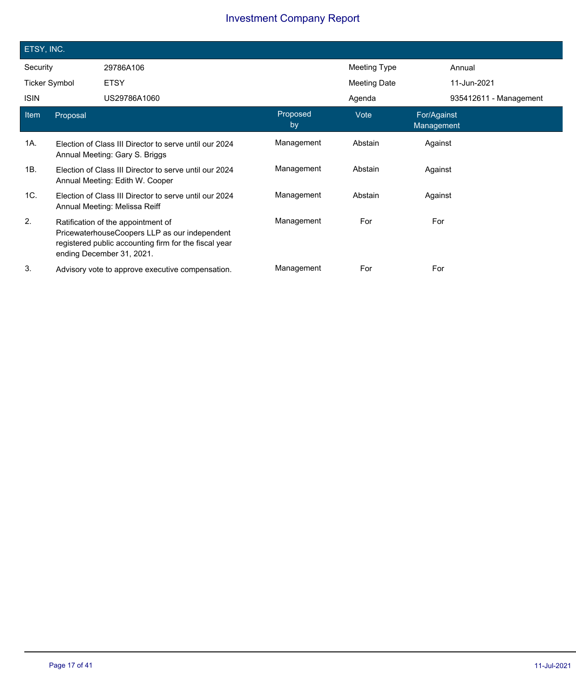| ETSY, INC.           |          |                                                                                                                                                                           |                |                     |                           |  |
|----------------------|----------|---------------------------------------------------------------------------------------------------------------------------------------------------------------------------|----------------|---------------------|---------------------------|--|
| Security             |          | 29786A106                                                                                                                                                                 |                | <b>Meeting Type</b> | Annual                    |  |
| <b>Ticker Symbol</b> |          | <b>ETSY</b>                                                                                                                                                               |                | <b>Meeting Date</b> | 11-Jun-2021               |  |
| <b>ISIN</b>          |          | US29786A1060                                                                                                                                                              |                | Agenda              | 935412611 - Management    |  |
| Item                 | Proposal |                                                                                                                                                                           | Proposed<br>by | Vote                | For/Against<br>Management |  |
| 1A.                  |          | Election of Class III Director to serve until our 2024<br>Annual Meeting: Gary S. Briggs                                                                                  | Management     | Abstain             | Against                   |  |
| 1B.                  |          | Election of Class III Director to serve until our 2024<br>Annual Meeting: Edith W. Cooper                                                                                 | Management     | Abstain             | Against                   |  |
| 1C.                  |          | Election of Class III Director to serve until our 2024<br>Annual Meeting: Melissa Reiff                                                                                   | Management     | Abstain             | Against                   |  |
| 2.                   |          | Ratification of the appointment of<br>PricewaterhouseCoopers LLP as our independent<br>registered public accounting firm for the fiscal year<br>ending December 31, 2021. | Management     | For                 | For                       |  |
| 3.                   |          | Advisory vote to approve executive compensation.                                                                                                                          | Management     | For                 | For                       |  |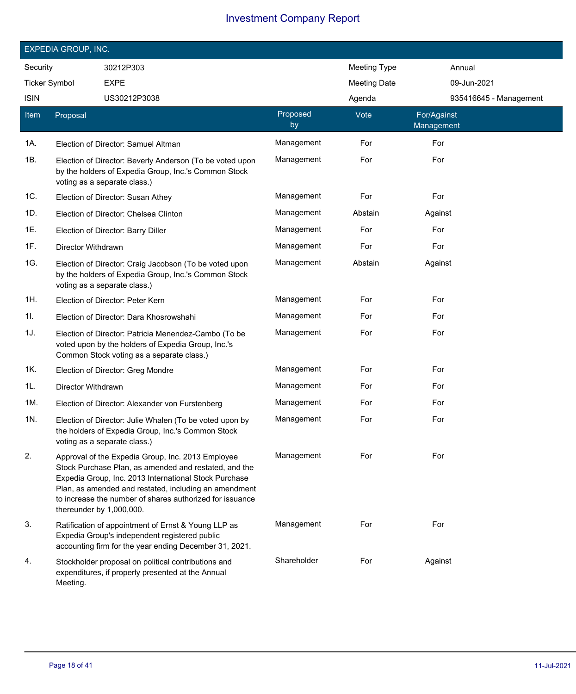|                      | EXPEDIA GROUP, INC.      |                                                                                                                                                                                                                                                                                          |                |                     |                           |                        |
|----------------------|--------------------------|------------------------------------------------------------------------------------------------------------------------------------------------------------------------------------------------------------------------------------------------------------------------------------------|----------------|---------------------|---------------------------|------------------------|
| Security             |                          | 30212P303                                                                                                                                                                                                                                                                                |                | <b>Meeting Type</b> |                           | Annual                 |
| <b>Ticker Symbol</b> |                          | <b>EXPE</b>                                                                                                                                                                                                                                                                              |                | <b>Meeting Date</b> |                           | 09-Jun-2021            |
| <b>ISIN</b>          |                          | US30212P3038                                                                                                                                                                                                                                                                             |                | Agenda              |                           | 935416645 - Management |
| Item                 | Proposal                 |                                                                                                                                                                                                                                                                                          | Proposed<br>by | Vote                | For/Against<br>Management |                        |
| 1A.                  |                          | Election of Director: Samuel Altman                                                                                                                                                                                                                                                      | Management     | For                 | For                       |                        |
| 1B.                  |                          | Election of Director: Beverly Anderson (To be voted upon<br>by the holders of Expedia Group, Inc.'s Common Stock<br>voting as a separate class.)                                                                                                                                         | Management     | For                 | For                       |                        |
| 1C.                  |                          | Election of Director: Susan Athey                                                                                                                                                                                                                                                        | Management     | For                 | For                       |                        |
| 1D.                  |                          | Election of Director: Chelsea Clinton                                                                                                                                                                                                                                                    | Management     | Abstain             | Against                   |                        |
| 1E.                  |                          | Election of Director: Barry Diller                                                                                                                                                                                                                                                       | Management     | For                 | For                       |                        |
| 1F.                  | Director Withdrawn       |                                                                                                                                                                                                                                                                                          | Management     | For                 | For                       |                        |
| 1G.                  |                          | Election of Director: Craig Jacobson (To be voted upon<br>by the holders of Expedia Group, Inc.'s Common Stock<br>voting as a separate class.)                                                                                                                                           | Management     | Abstain             | Against                   |                        |
| 1H.                  |                          | Election of Director: Peter Kern                                                                                                                                                                                                                                                         | Management     | For                 | For                       |                        |
| 1I.                  |                          | Election of Director: Dara Khosrowshahi                                                                                                                                                                                                                                                  | Management     | For                 | For                       |                        |
| 1J.                  |                          | Election of Director: Patricia Menendez-Cambo (To be<br>voted upon by the holders of Expedia Group, Inc.'s<br>Common Stock voting as a separate class.)                                                                                                                                  | Management     | For                 | For                       |                        |
| 1K.                  |                          | Election of Director: Greg Mondre                                                                                                                                                                                                                                                        | Management     | For                 | For                       |                        |
| 1L.                  | Director Withdrawn       |                                                                                                                                                                                                                                                                                          | Management     | For                 | For                       |                        |
| 1M.                  |                          | Election of Director: Alexander von Furstenberg                                                                                                                                                                                                                                          | Management     | For                 | For                       |                        |
| 1N.                  |                          | Election of Director: Julie Whalen (To be voted upon by<br>the holders of Expedia Group, Inc.'s Common Stock<br>voting as a separate class.)                                                                                                                                             | Management     | For                 | For                       |                        |
| 2.                   | thereunder by 1,000,000. | Approval of the Expedia Group, Inc. 2013 Employee<br>Stock Purchase Plan, as amended and restated, and the<br>Expedia Group, Inc. 2013 International Stock Purchase<br>Plan, as amended and restated, including an amendment<br>to increase the number of shares authorized for issuance | Management     | For                 | For                       |                        |
| 3.                   |                          | Ratification of appointment of Ernst & Young LLP as<br>Expedia Group's independent registered public<br>accounting firm for the year ending December 31, 2021.                                                                                                                           | Management     | For                 | For                       |                        |
| 4.                   | Meeting.                 | Stockholder proposal on political contributions and<br>expenditures, if properly presented at the Annual                                                                                                                                                                                 | Shareholder    | For                 | Against                   |                        |

Ī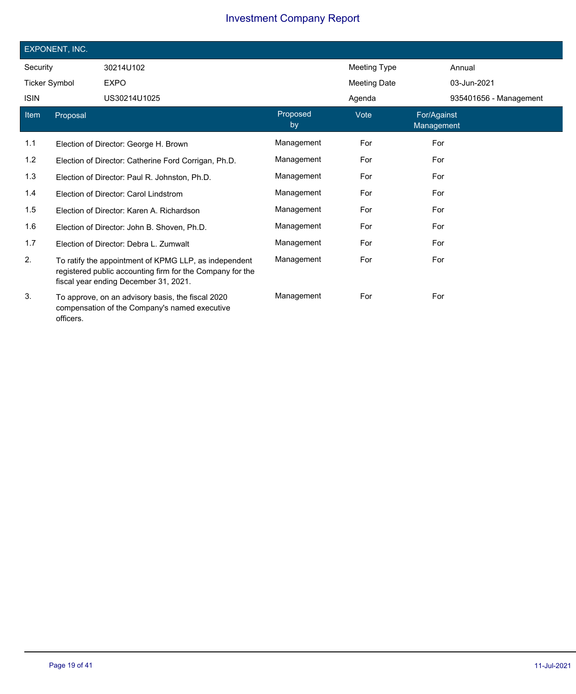|                      | EXPONENT, INC. |                                                                                                                                                             |                |                     |                           |                        |
|----------------------|----------------|-------------------------------------------------------------------------------------------------------------------------------------------------------------|----------------|---------------------|---------------------------|------------------------|
| Security             |                | 30214U102                                                                                                                                                   |                | Meeting Type        |                           | Annual                 |
| <b>Ticker Symbol</b> |                | <b>EXPO</b>                                                                                                                                                 |                | <b>Meeting Date</b> |                           | 03-Jun-2021            |
| <b>ISIN</b>          |                | US30214U1025                                                                                                                                                |                | Agenda              |                           | 935401656 - Management |
| Item                 | Proposal       |                                                                                                                                                             | Proposed<br>by | Vote                | For/Against<br>Management |                        |
| 1.1                  |                | Election of Director: George H. Brown                                                                                                                       | Management     | For                 | For                       |                        |
| 1.2                  |                | Election of Director: Catherine Ford Corrigan, Ph.D.                                                                                                        | Management     | For                 | For                       |                        |
| 1.3                  |                | Election of Director: Paul R. Johnston, Ph.D.                                                                                                               | Management     | For                 | For                       |                        |
| 1.4                  |                | Election of Director: Carol Lindstrom                                                                                                                       | Management     | For                 | For                       |                        |
| 1.5                  |                | Election of Director: Karen A. Richardson                                                                                                                   | Management     | For                 | For                       |                        |
| 1.6                  |                | Election of Director: John B. Shoven, Ph.D.                                                                                                                 | Management     | For                 | For                       |                        |
| 1.7                  |                | Election of Director: Debra L. Zumwalt                                                                                                                      | Management     | For                 | For                       |                        |
| 2.                   |                | To ratify the appointment of KPMG LLP, as independent<br>registered public accounting firm for the Company for the<br>fiscal year ending December 31, 2021. | Management     | For                 | For                       |                        |
| 3.                   | officers.      | To approve, on an advisory basis, the fiscal 2020<br>compensation of the Company's named executive                                                          | Management     | For                 | For                       |                        |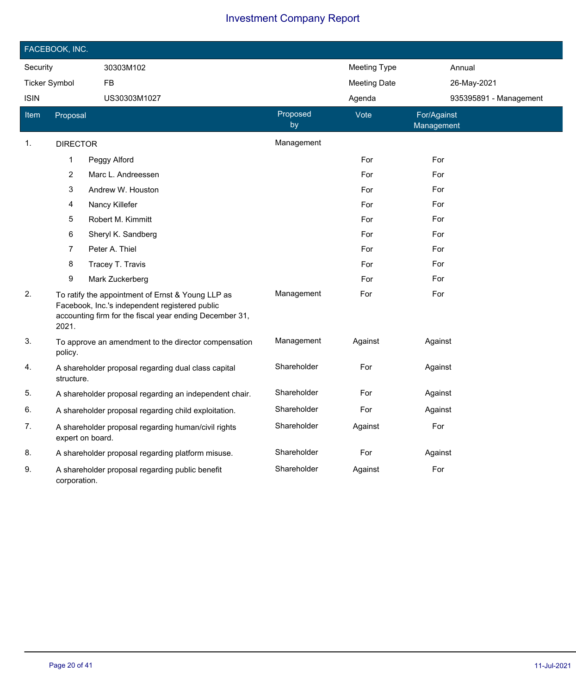|                      | FACEBOOK, INC.   |                                                                                                                                                                |                |                     |                           |
|----------------------|------------------|----------------------------------------------------------------------------------------------------------------------------------------------------------------|----------------|---------------------|---------------------------|
| Security             |                  | 30303M102                                                                                                                                                      |                | <b>Meeting Type</b> | Annual                    |
| <b>Ticker Symbol</b> |                  | FB                                                                                                                                                             |                | <b>Meeting Date</b> | 26-May-2021               |
| <b>ISIN</b>          |                  | US30303M1027                                                                                                                                                   |                | Agenda              | 935395891 - Management    |
| <u>Item</u>          | Proposal         |                                                                                                                                                                | Proposed<br>by | Vote                | For/Against<br>Management |
| 1.                   | <b>DIRECTOR</b>  |                                                                                                                                                                | Management     |                     |                           |
|                      | 1                | Peggy Alford                                                                                                                                                   |                | For                 | For                       |
|                      | 2                | Marc L. Andreessen                                                                                                                                             |                | For                 | For                       |
|                      | 3                | Andrew W. Houston                                                                                                                                              |                | For                 | For                       |
|                      | 4                | Nancy Killefer                                                                                                                                                 |                | For                 | For                       |
|                      | 5                | Robert M. Kimmitt                                                                                                                                              |                | For                 | For                       |
|                      | 6                | Sheryl K. Sandberg                                                                                                                                             |                | For                 | For                       |
|                      | 7                | Peter A. Thiel                                                                                                                                                 |                | For                 | For                       |
|                      | 8                | Tracey T. Travis                                                                                                                                               |                | For                 | For                       |
|                      | 9                | Mark Zuckerberg                                                                                                                                                |                | For                 | For                       |
| 2.                   | 2021.            | To ratify the appointment of Ernst & Young LLP as<br>Facebook, Inc.'s independent registered public<br>accounting firm for the fiscal year ending December 31, | Management     | For                 | For                       |
| 3.                   | policy.          | To approve an amendment to the director compensation                                                                                                           | Management     | Against             | Against                   |
| 4.                   | structure.       | A shareholder proposal regarding dual class capital                                                                                                            | Shareholder    | For                 | Against                   |
| 5.                   |                  | A shareholder proposal regarding an independent chair.                                                                                                         | Shareholder    | For                 | Against                   |
| 6.                   |                  | A shareholder proposal regarding child exploitation.                                                                                                           | Shareholder    | For                 | Against                   |
| 7.                   | expert on board. | A shareholder proposal regarding human/civil rights                                                                                                            | Shareholder    | Against             | For                       |
| 8.                   |                  | A shareholder proposal regarding platform misuse.                                                                                                              | Shareholder    | For                 | Against                   |
| 9.                   | corporation.     | A shareholder proposal regarding public benefit                                                                                                                | Shareholder    | Against             | For                       |

 $\overline{\phantom{a}}$ 

Ī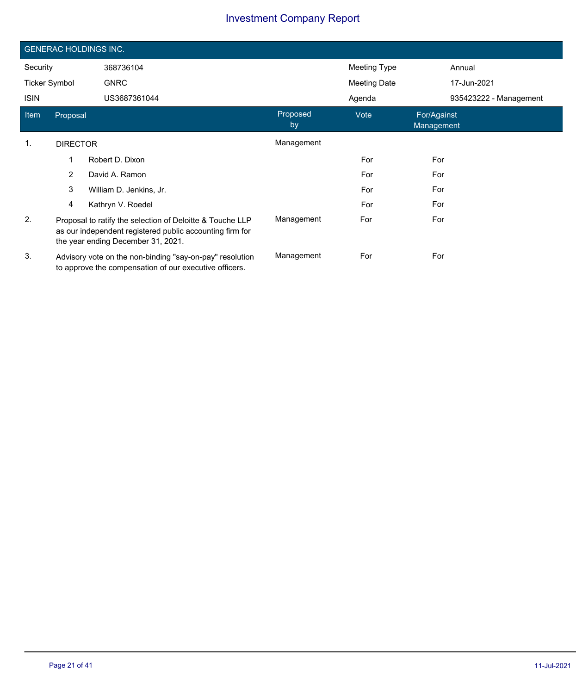|                      | <b>GENERAC HOLDINGS INC.</b> |                                                                                                                                                             |                |              |                           |  |  |
|----------------------|------------------------------|-------------------------------------------------------------------------------------------------------------------------------------------------------------|----------------|--------------|---------------------------|--|--|
| Security             |                              | 368736104                                                                                                                                                   |                | Meeting Type | Annual                    |  |  |
| <b>Ticker Symbol</b> |                              | <b>GNRC</b>                                                                                                                                                 |                | Meeting Date | 17-Jun-2021               |  |  |
| <b>ISIN</b>          |                              | US3687361044                                                                                                                                                |                | Agenda       | 935423222 - Management    |  |  |
| Item                 | Proposal                     |                                                                                                                                                             | Proposed<br>by | Vote         | For/Against<br>Management |  |  |
| 1.                   | <b>DIRECTOR</b>              |                                                                                                                                                             | Management     |              |                           |  |  |
|                      | 1                            | Robert D. Dixon                                                                                                                                             |                | For          | For                       |  |  |
|                      | $\overline{2}$               | David A. Ramon                                                                                                                                              |                | For          | For                       |  |  |
|                      | 3                            | William D. Jenkins, Jr.                                                                                                                                     |                | For          | For                       |  |  |
|                      | 4                            | Kathryn V. Roedel                                                                                                                                           |                | For          | For                       |  |  |
| 2.                   |                              | Proposal to ratify the selection of Deloitte & Touche LLP<br>as our independent registered public accounting firm for<br>the year ending December 31, 2021. | Management     | For          | For                       |  |  |
| 3.                   |                              | Advisory vote on the non-binding "say-on-pay" resolution<br>to approve the compensation of our executive officers.                                          | Management     | For          | For                       |  |  |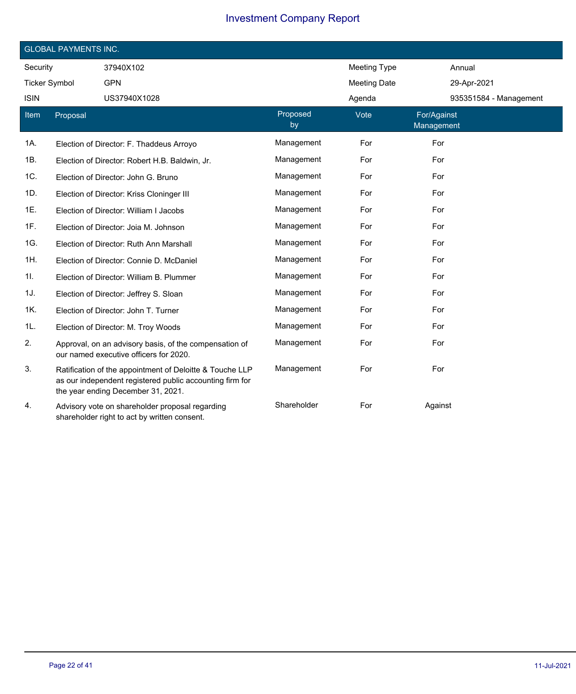|                      | <b>GLOBAL PAYMENTS INC.</b> |                                                                                                                                                            |                |                     |                           |  |  |
|----------------------|-----------------------------|------------------------------------------------------------------------------------------------------------------------------------------------------------|----------------|---------------------|---------------------------|--|--|
| Security             |                             | 37940X102                                                                                                                                                  |                | <b>Meeting Type</b> | Annual                    |  |  |
| <b>Ticker Symbol</b> |                             | <b>GPN</b>                                                                                                                                                 |                | <b>Meeting Date</b> | 29-Apr-2021               |  |  |
| <b>ISIN</b>          |                             | US37940X1028                                                                                                                                               |                | Agenda              | 935351584 - Management    |  |  |
| Item                 | Proposal                    |                                                                                                                                                            | Proposed<br>by | Vote                | For/Against<br>Management |  |  |
| 1A.                  |                             | Election of Director: F. Thaddeus Arroyo                                                                                                                   | Management     | For                 | For                       |  |  |
| 1B.                  |                             | Election of Director: Robert H.B. Baldwin, Jr.                                                                                                             | Management     | For                 | For                       |  |  |
| 1C.                  |                             | Election of Director: John G. Bruno                                                                                                                        | Management     | For                 | For                       |  |  |
| 1D.                  |                             | Election of Director: Kriss Cloninger III                                                                                                                  | Management     | For                 | For                       |  |  |
| 1E.                  |                             | Election of Director: William I Jacobs                                                                                                                     | Management     | For                 | For                       |  |  |
| 1F.                  |                             | Election of Director: Joia M. Johnson                                                                                                                      | Management     | For                 | For                       |  |  |
| 1G.                  |                             | Election of Director: Ruth Ann Marshall                                                                                                                    | Management     | For                 | For                       |  |  |
| 1H.                  |                             | Election of Director: Connie D. McDaniel                                                                                                                   | Management     | For                 | For                       |  |  |
| 11.                  |                             | Election of Director: William B. Plummer                                                                                                                   | Management     | For                 | For                       |  |  |
| 1J.                  |                             | Election of Director: Jeffrey S. Sloan                                                                                                                     | Management     | For                 | For                       |  |  |
| 1K.                  |                             | Election of Director: John T. Turner                                                                                                                       | Management     | For                 | For                       |  |  |
| 1L.                  |                             | Election of Director: M. Troy Woods                                                                                                                        | Management     | For                 | For                       |  |  |
| 2.                   |                             | Approval, on an advisory basis, of the compensation of<br>our named executive officers for 2020.                                                           | Management     | For                 | For                       |  |  |
| 3.                   |                             | Ratification of the appointment of Deloitte & Touche LLP<br>as our independent registered public accounting firm for<br>the year ending December 31, 2021. | Management     | For                 | For                       |  |  |
| 4.                   |                             | Advisory vote on shareholder proposal regarding<br>shareholder right to act by written consent.                                                            | Shareholder    | For                 | Against                   |  |  |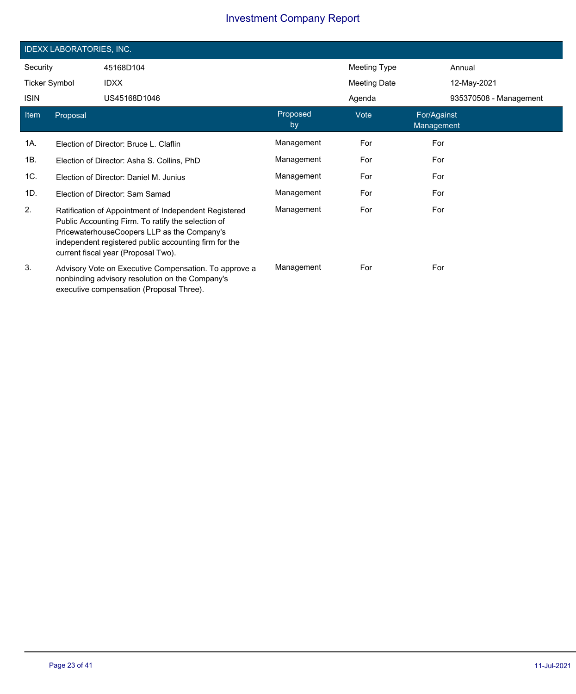|                      | <b>IDEXX LABORATORIES, INC.</b> |                                                                                                                                                                                                                                                            |                |              |                           |                        |  |
|----------------------|---------------------------------|------------------------------------------------------------------------------------------------------------------------------------------------------------------------------------------------------------------------------------------------------------|----------------|--------------|---------------------------|------------------------|--|
| Security             |                                 | 45168D104                                                                                                                                                                                                                                                  |                | Meeting Type |                           | Annual                 |  |
| <b>Ticker Symbol</b> |                                 | <b>IDXX</b>                                                                                                                                                                                                                                                |                | Meeting Date |                           | 12-May-2021            |  |
| <b>ISIN</b>          |                                 | US45168D1046                                                                                                                                                                                                                                               |                | Agenda       |                           | 935370508 - Management |  |
| Item                 | Proposal                        |                                                                                                                                                                                                                                                            | Proposed<br>by | Vote         | For/Against<br>Management |                        |  |
| 1A.                  |                                 | Election of Director: Bruce L. Claflin                                                                                                                                                                                                                     | Management     | For          | For                       |                        |  |
| 1B.                  |                                 | Election of Director: Asha S. Collins, PhD                                                                                                                                                                                                                 | Management     | For          | For                       |                        |  |
| 1C.                  |                                 | Election of Director: Daniel M. Junius                                                                                                                                                                                                                     | Management     | For          | For                       |                        |  |
| 1D.                  |                                 | Election of Director: Sam Samad                                                                                                                                                                                                                            | Management     | For          | For                       |                        |  |
| 2.                   |                                 | Ratification of Appointment of Independent Registered<br>Public Accounting Firm. To ratify the selection of<br>PricewaterhouseCoopers LLP as the Company's<br>independent registered public accounting firm for the<br>current fiscal year (Proposal Two). | Management     | For          | For                       |                        |  |
| 3.                   |                                 | Advisory Vote on Executive Compensation. To approve a<br>nonbinding advisory resolution on the Company's<br>executive compensation (Proposal Three).                                                                                                       | Management     | For          | For                       |                        |  |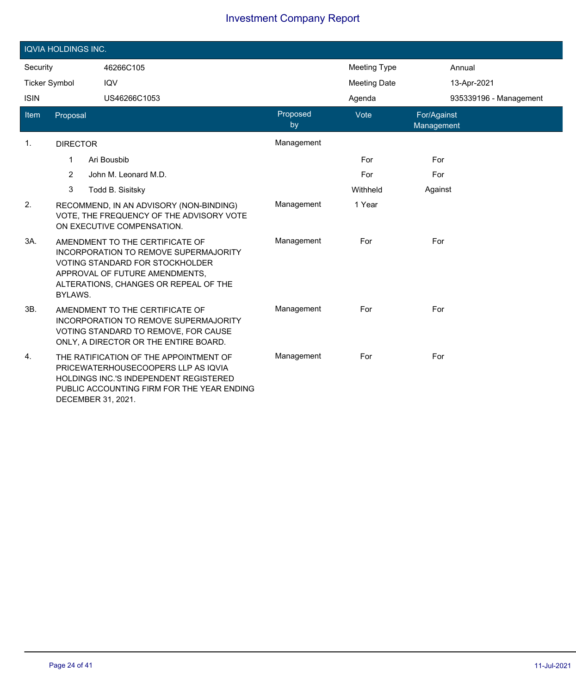|                      | <b>IQVIA HOLDINGS INC.</b> |                                                                                                                                                                                                      |                |                     |                           |  |  |
|----------------------|----------------------------|------------------------------------------------------------------------------------------------------------------------------------------------------------------------------------------------------|----------------|---------------------|---------------------------|--|--|
| Security             |                            | 46266C105                                                                                                                                                                                            |                | <b>Meeting Type</b> | Annual                    |  |  |
| <b>Ticker Symbol</b> |                            | IQV                                                                                                                                                                                                  |                | <b>Meeting Date</b> | 13-Apr-2021               |  |  |
| <b>ISIN</b>          |                            | US46266C1053                                                                                                                                                                                         |                | Agenda              | 935339196 - Management    |  |  |
| Item                 | Proposal                   |                                                                                                                                                                                                      | Proposed<br>by | Vote                | For/Against<br>Management |  |  |
| $\mathbf{1}$ .       | <b>DIRECTOR</b>            |                                                                                                                                                                                                      | Management     |                     |                           |  |  |
|                      | 1                          | Ari Bousbib                                                                                                                                                                                          |                | For                 | For                       |  |  |
|                      | $\overline{2}$             | John M. Leonard M.D.                                                                                                                                                                                 |                | For                 | For                       |  |  |
|                      | 3                          | Todd B. Sisitsky                                                                                                                                                                                     |                | Withheld            | Against                   |  |  |
| 2.                   |                            | RECOMMEND, IN AN ADVISORY (NON-BINDING)<br>VOTE, THE FREQUENCY OF THE ADVISORY VOTE<br>ON EXECUTIVE COMPENSATION.                                                                                    | Management     | 1 Year              |                           |  |  |
| 3A.                  | BYLAWS.                    | AMENDMENT TO THE CERTIFICATE OF<br><b>INCORPORATION TO REMOVE SUPERMAJORITY</b><br><b>VOTING STANDARD FOR STOCKHOLDER</b><br>APPROVAL OF FUTURE AMENDMENTS,<br>ALTERATIONS, CHANGES OR REPEAL OF THE | Management     | For                 | For                       |  |  |
| 3B.                  |                            | AMENDMENT TO THE CERTIFICATE OF<br><b>INCORPORATION TO REMOVE SUPERMAJORITY</b><br>VOTING STANDARD TO REMOVE, FOR CAUSE<br>ONLY, A DIRECTOR OR THE ENTIRE BOARD.                                     | Management     | For                 | For                       |  |  |
| 4.                   | DECEMBER 31, 2021.         | THE RATIFICATION OF THE APPOINTMENT OF<br>PRICEWATERHOUSECOOPERS LLP AS IQVIA<br><b>HOLDINGS INC.'S INDEPENDENT REGISTERED</b><br>PUBLIC ACCOUNTING FIRM FOR THE YEAR ENDING                         | Management     | For                 | For                       |  |  |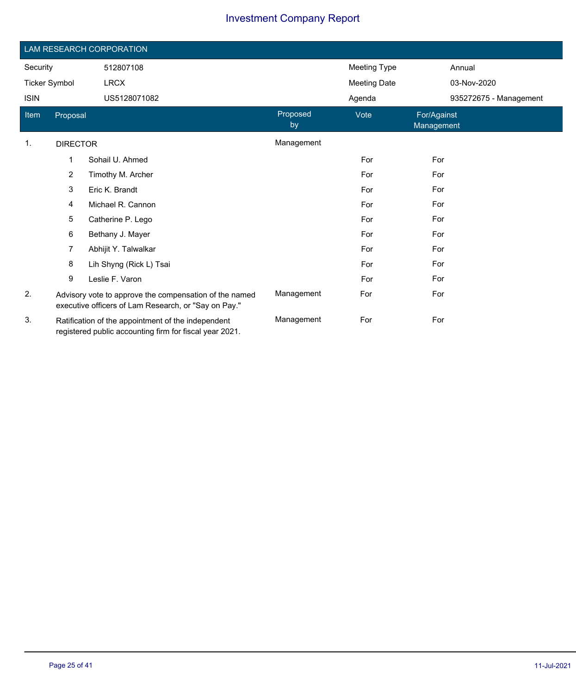|                       | LAM RESEARCH CORPORATION |                                                                                                                |                |                     |                           |  |  |
|-----------------------|--------------------------|----------------------------------------------------------------------------------------------------------------|----------------|---------------------|---------------------------|--|--|
| Security<br>512807108 |                          |                                                                                                                |                | Meeting Type        | Annual                    |  |  |
| <b>Ticker Symbol</b>  |                          | <b>LRCX</b>                                                                                                    |                | <b>Meeting Date</b> | 03-Nov-2020               |  |  |
| <b>ISIN</b>           |                          | US5128071082                                                                                                   |                | Agenda              | 935272675 - Management    |  |  |
| Item                  | Proposal                 |                                                                                                                | Proposed<br>by | Vote                | For/Against<br>Management |  |  |
| 1.                    | <b>DIRECTOR</b>          |                                                                                                                | Management     |                     |                           |  |  |
|                       | 1                        | Sohail U. Ahmed                                                                                                |                | For                 | For                       |  |  |
|                       | $\overline{2}$           | Timothy M. Archer                                                                                              |                | For                 | For                       |  |  |
|                       | 3                        | Eric K. Brandt                                                                                                 |                | For                 | For                       |  |  |
|                       | 4                        | Michael R. Cannon                                                                                              |                | For                 | For                       |  |  |
|                       | 5                        | Catherine P. Lego                                                                                              |                | For                 | For                       |  |  |
|                       | 6                        | Bethany J. Mayer                                                                                               |                | For                 | For                       |  |  |
|                       | 7                        | Abhijit Y. Talwalkar                                                                                           |                | For                 | For                       |  |  |
|                       | 8                        | Lih Shyng (Rick L) Tsai                                                                                        |                | For                 | For                       |  |  |
|                       | 9                        | Leslie F. Varon                                                                                                |                | For                 | For                       |  |  |
| 2.                    |                          | Advisory vote to approve the compensation of the named<br>executive officers of Lam Research, or "Say on Pay." | Management     | For                 | For                       |  |  |
| 3.                    |                          | Ratification of the appointment of the independent<br>registered public accounting firm for fiscal year 2021.  | Management     | For                 | For                       |  |  |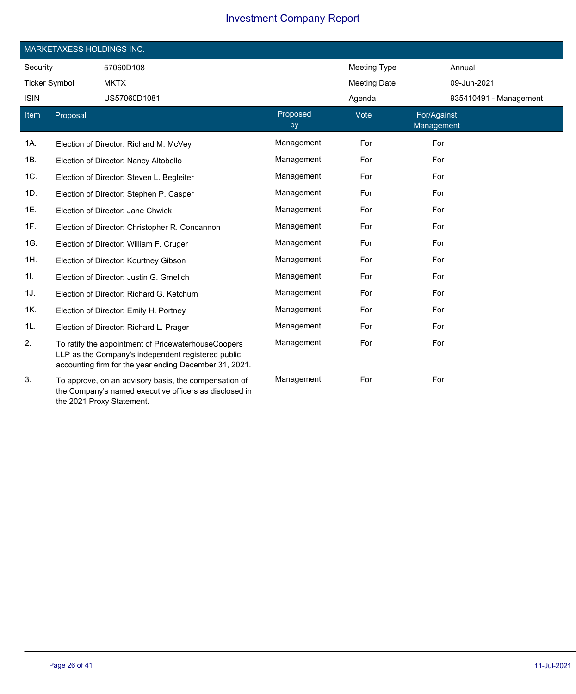|                      | MARKETAXESS HOLDINGS INC. |                                                                                                                                                                     |                |                     |                           |  |  |  |
|----------------------|---------------------------|---------------------------------------------------------------------------------------------------------------------------------------------------------------------|----------------|---------------------|---------------------------|--|--|--|
| Security             |                           | 57060D108                                                                                                                                                           |                | <b>Meeting Type</b> | Annual                    |  |  |  |
| <b>Ticker Symbol</b> |                           | <b>MKTX</b>                                                                                                                                                         |                | <b>Meeting Date</b> | 09-Jun-2021               |  |  |  |
| <b>ISIN</b>          |                           | US57060D1081                                                                                                                                                        |                | Agenda              | 935410491 - Management    |  |  |  |
| Item                 | Proposal                  |                                                                                                                                                                     | Proposed<br>by | Vote                | For/Against<br>Management |  |  |  |
| 1A.                  |                           | Election of Director: Richard M. McVey                                                                                                                              | Management     | For                 | For                       |  |  |  |
| 1B.                  |                           | Election of Director: Nancy Altobello                                                                                                                               | Management     | For                 | For                       |  |  |  |
| 1C.                  |                           | Election of Director: Steven L. Begleiter                                                                                                                           | Management     | For                 | For                       |  |  |  |
| 1D.                  |                           | Election of Director: Stephen P. Casper                                                                                                                             | Management     | For                 | For                       |  |  |  |
| 1E.                  |                           | Election of Director: Jane Chwick                                                                                                                                   | Management     | For                 | For                       |  |  |  |
| 1F.                  |                           | Election of Director: Christopher R. Concannon                                                                                                                      | Management     | For                 | For                       |  |  |  |
| 1G.                  |                           | Election of Director: William F. Cruger                                                                                                                             | Management     | For                 | For                       |  |  |  |
| 1H.                  |                           | Election of Director: Kourtney Gibson                                                                                                                               | Management     | For                 | For                       |  |  |  |
| 11.                  |                           | Election of Director: Justin G. Gmelich                                                                                                                             | Management     | For                 | For                       |  |  |  |
| 1J.                  |                           | Election of Director: Richard G. Ketchum                                                                                                                            | Management     | For                 | For                       |  |  |  |
| 1K.                  |                           | Election of Director: Emily H. Portney                                                                                                                              | Management     | For                 | For                       |  |  |  |
| 1L.                  |                           | Election of Director: Richard L. Prager                                                                                                                             | Management     | For                 | For                       |  |  |  |
| 2.                   |                           | To ratify the appointment of PricewaterhouseCoopers<br>LLP as the Company's independent registered public<br>accounting firm for the year ending December 31, 2021. | Management     | For                 | For                       |  |  |  |
| 3.                   |                           | To approve, on an advisory basis, the compensation of<br>the Company's named executive officers as disclosed in<br>the 2021 Proxy Statement.                        | Management     | For                 | For                       |  |  |  |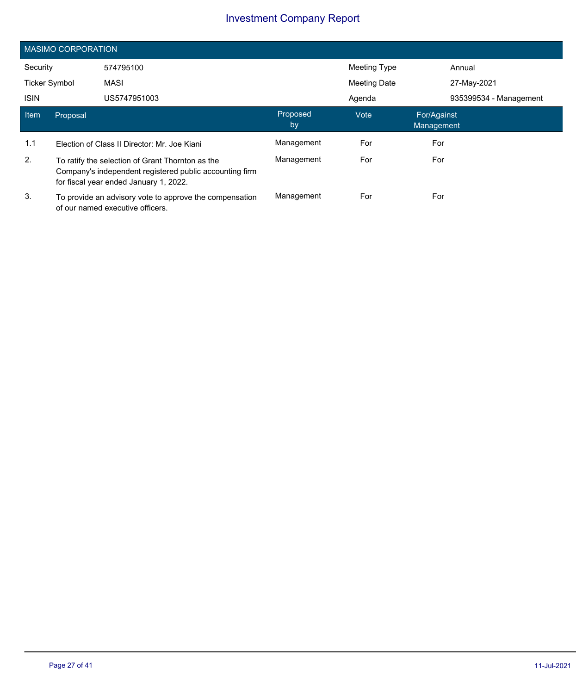|                      | <b>MASIMO CORPORATION</b>                                                                                                                             |                                                                                             |                |                     |                           |  |  |  |  |
|----------------------|-------------------------------------------------------------------------------------------------------------------------------------------------------|---------------------------------------------------------------------------------------------|----------------|---------------------|---------------------------|--|--|--|--|
| Security             |                                                                                                                                                       | 574795100                                                                                   |                | Meeting Type        | Annual                    |  |  |  |  |
| <b>Ticker Symbol</b> |                                                                                                                                                       | MASI                                                                                        |                | <b>Meeting Date</b> | 27-May-2021               |  |  |  |  |
| <b>ISIN</b>          |                                                                                                                                                       | US5747951003                                                                                |                | Agenda              | 935399534 - Management    |  |  |  |  |
| Item                 | Proposal                                                                                                                                              |                                                                                             | Proposed<br>by | Vote                | For/Against<br>Management |  |  |  |  |
| 1.1                  | Election of Class II Director: Mr. Joe Kiani                                                                                                          |                                                                                             | Management     | For                 | For                       |  |  |  |  |
| 2.                   | To ratify the selection of Grant Thornton as the<br>Company's independent registered public accounting firm<br>for fiscal year ended January 1, 2022. |                                                                                             | Management     | For                 | For                       |  |  |  |  |
| 3.                   |                                                                                                                                                       | To provide an advisory vote to approve the compensation<br>of our named executive officers. | Management     | For                 | For                       |  |  |  |  |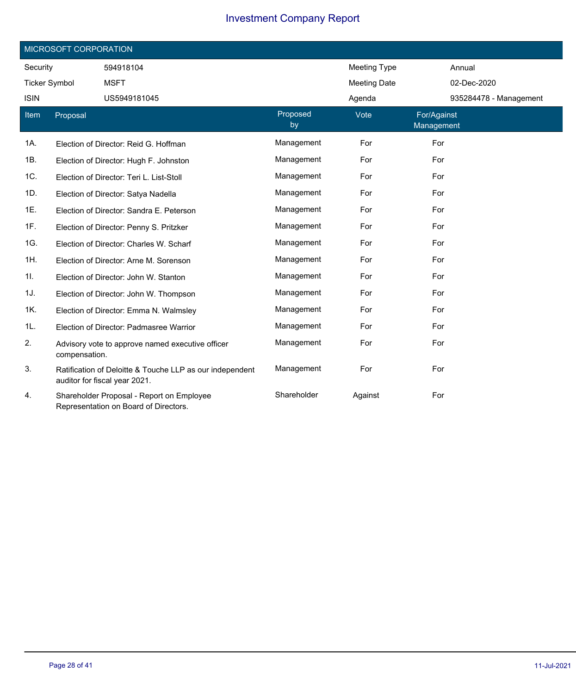|                      | MICROSOFT CORPORATION |                                                                                           |                |                     |                           |  |  |  |
|----------------------|-----------------------|-------------------------------------------------------------------------------------------|----------------|---------------------|---------------------------|--|--|--|
| Security             |                       | 594918104                                                                                 |                | <b>Meeting Type</b> | Annual                    |  |  |  |
| <b>Ticker Symbol</b> |                       | <b>MSFT</b>                                                                               |                | <b>Meeting Date</b> | 02-Dec-2020               |  |  |  |
| <b>ISIN</b>          |                       | US5949181045                                                                              |                | Agenda              | 935284478 - Management    |  |  |  |
| <b>Item</b>          | Proposal              |                                                                                           | Proposed<br>by | Vote                | For/Against<br>Management |  |  |  |
| 1A.                  |                       | Election of Director: Reid G. Hoffman                                                     | Management     | For                 | For                       |  |  |  |
| 1B.                  |                       | Election of Director: Hugh F. Johnston                                                    | Management     | For                 | For                       |  |  |  |
| 1C.                  |                       | Election of Director: Teri L. List-Stoll                                                  | Management     | For                 | For                       |  |  |  |
| 1D.                  |                       | Election of Director: Satya Nadella                                                       | Management     | For                 | For                       |  |  |  |
| 1E.                  |                       | Election of Director: Sandra E. Peterson                                                  | Management     | For                 | For                       |  |  |  |
| 1F.                  |                       | Election of Director: Penny S. Pritzker                                                   | Management     | For                 | For                       |  |  |  |
| 1G.                  |                       | Election of Director: Charles W. Scharf                                                   | Management     | For                 | For                       |  |  |  |
| 1H.                  |                       | Election of Director: Arne M. Sorenson                                                    | Management     | For                 | For                       |  |  |  |
| 11.                  |                       | Election of Director: John W. Stanton                                                     | Management     | For                 | For                       |  |  |  |
| 1J.                  |                       | Election of Director: John W. Thompson                                                    | Management     | For                 | For                       |  |  |  |
| 1K.                  |                       | Election of Director: Emma N. Walmsley                                                    | Management     | For                 | For                       |  |  |  |
| 1L.                  |                       | Election of Director: Padmasree Warrior                                                   | Management     | For                 | For                       |  |  |  |
| 2.                   | compensation.         | Advisory vote to approve named executive officer                                          | Management     | For                 | For                       |  |  |  |
| 3.                   |                       | Ratification of Deloitte & Touche LLP as our independent<br>auditor for fiscal year 2021. | Management     | For                 | For                       |  |  |  |
| 4.                   |                       | Shareholder Proposal - Report on Employee<br>Representation on Board of Directors.        | Shareholder    | Against             | For                       |  |  |  |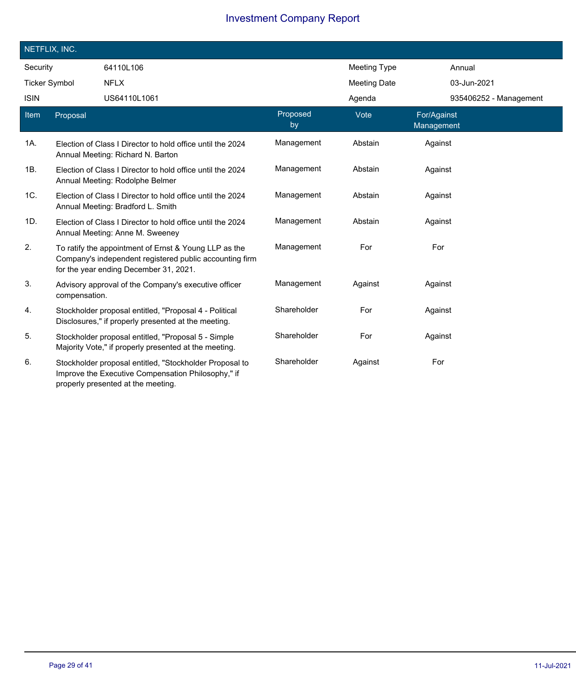|             | NETFLIX, INC.        |                                                                                                                                                            |                |                     |                           |
|-------------|----------------------|------------------------------------------------------------------------------------------------------------------------------------------------------------|----------------|---------------------|---------------------------|
| Security    |                      | 64110L106                                                                                                                                                  |                | <b>Meeting Type</b> | Annual                    |
|             | <b>Ticker Symbol</b> | <b>NFLX</b>                                                                                                                                                |                | <b>Meeting Date</b> | 03-Jun-2021               |
| <b>ISIN</b> |                      | US64110L1061                                                                                                                                               |                | Agenda              | 935406252 - Management    |
| <b>Item</b> | Proposal             |                                                                                                                                                            | Proposed<br>by | Vote                | For/Against<br>Management |
| 1A.         |                      | Election of Class I Director to hold office until the 2024<br>Annual Meeting: Richard N. Barton                                                            | Management     | Abstain             | Against                   |
| 1B.         |                      | Election of Class I Director to hold office until the 2024<br>Annual Meeting: Rodolphe Belmer                                                              | Management     | Abstain             | Against                   |
| 1C.         |                      | Election of Class I Director to hold office until the 2024<br>Annual Meeting: Bradford L. Smith                                                            | Management     | Abstain             | Against                   |
| 1D.         |                      | Election of Class I Director to hold office until the 2024<br>Annual Meeting: Anne M. Sweeney                                                              | Management     | Abstain             | Against                   |
| 2.          |                      | To ratify the appointment of Ernst & Young LLP as the<br>Company's independent registered public accounting firm<br>for the year ending December 31, 2021. | Management     | For                 | For                       |
| 3.          | compensation.        | Advisory approval of the Company's executive officer                                                                                                       | Management     | Against             | Against                   |
| 4.          |                      | Stockholder proposal entitled, "Proposal 4 - Political<br>Disclosures," if properly presented at the meeting.                                              | Shareholder    | For                 | Against                   |
| 5.          |                      | Stockholder proposal entitled, "Proposal 5 - Simple<br>Majority Vote," if properly presented at the meeting.                                               | Shareholder    | For                 | Against                   |
| 6.          |                      | Stockholder proposal entitled, "Stockholder Proposal to<br>Improve the Executive Compensation Philosophy," if<br>properly presented at the meeting.        | Shareholder    | Against             | For                       |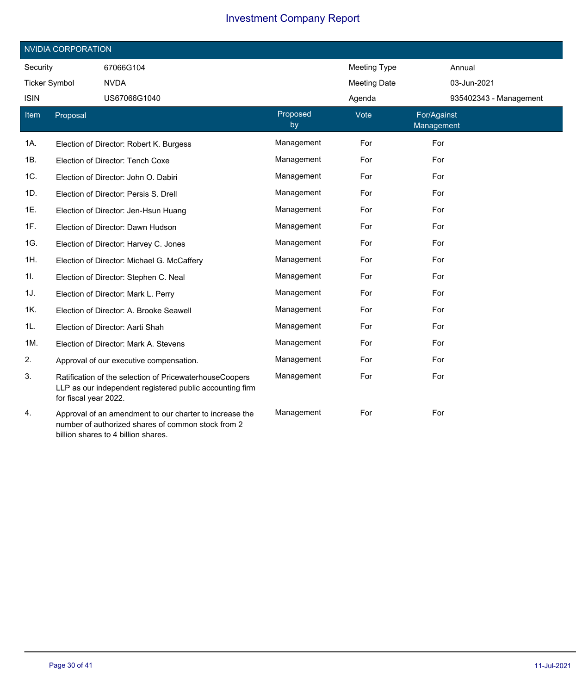| <b>NVIDIA CORPORATION</b> |                       |                                                                                                                                                      |                |                     |                           |                        |  |
|---------------------------|-----------------------|------------------------------------------------------------------------------------------------------------------------------------------------------|----------------|---------------------|---------------------------|------------------------|--|
| Security                  |                       | 67066G104                                                                                                                                            |                | <b>Meeting Type</b> |                           | Annual                 |  |
| <b>Ticker Symbol</b>      |                       | <b>NVDA</b>                                                                                                                                          |                | <b>Meeting Date</b> |                           | 03-Jun-2021            |  |
| <b>ISIN</b>               |                       | US67066G1040                                                                                                                                         |                | Agenda              |                           | 935402343 - Management |  |
| Item                      | Proposal              |                                                                                                                                                      | Proposed<br>by | Vote                | For/Against<br>Management |                        |  |
| 1A.                       |                       | Election of Director: Robert K. Burgess                                                                                                              | Management     | For                 | For                       |                        |  |
| 1B.                       |                       | Election of Director: Tench Coxe                                                                                                                     | Management     | For                 | For                       |                        |  |
| 1C.                       |                       | Election of Director: John O. Dabiri                                                                                                                 | Management     | For                 | For                       |                        |  |
| 1D.                       |                       | Election of Director: Persis S. Drell                                                                                                                | Management     | For                 | For                       |                        |  |
| 1E.                       |                       | Election of Director: Jen-Hsun Huang                                                                                                                 | Management     | For                 | For                       |                        |  |
| 1F.                       |                       | Election of Director: Dawn Hudson                                                                                                                    | Management     | For                 | For                       |                        |  |
| 1G.                       |                       | Election of Director: Harvey C. Jones                                                                                                                | Management     | For                 | For                       |                        |  |
| 1H.                       |                       | Election of Director: Michael G. McCaffery                                                                                                           | Management     | For                 | For                       |                        |  |
| 11.                       |                       | Election of Director: Stephen C. Neal                                                                                                                | Management     | For                 | For                       |                        |  |
| 1J.                       |                       | Election of Director: Mark L. Perry                                                                                                                  | Management     | For                 | For                       |                        |  |
| 1K.                       |                       | Election of Director: A. Brooke Seawell                                                                                                              | Management     | For                 | For                       |                        |  |
| 1L.                       |                       | Election of Director: Aarti Shah                                                                                                                     | Management     | For                 | For                       |                        |  |
| 1M.                       |                       | Election of Director: Mark A. Stevens                                                                                                                | Management     | For                 | For                       |                        |  |
| 2.                        |                       | Approval of our executive compensation.                                                                                                              | Management     | For                 | For                       |                        |  |
| 3.                        | for fiscal year 2022. | Ratification of the selection of PricewaterhouseCoopers<br>LLP as our independent registered public accounting firm                                  | Management     | For                 | For                       |                        |  |
| 4.                        |                       | Approval of an amendment to our charter to increase the<br>number of authorized shares of common stock from 2<br>billion shares to 4 billion shares. | Management     | For                 | For                       |                        |  |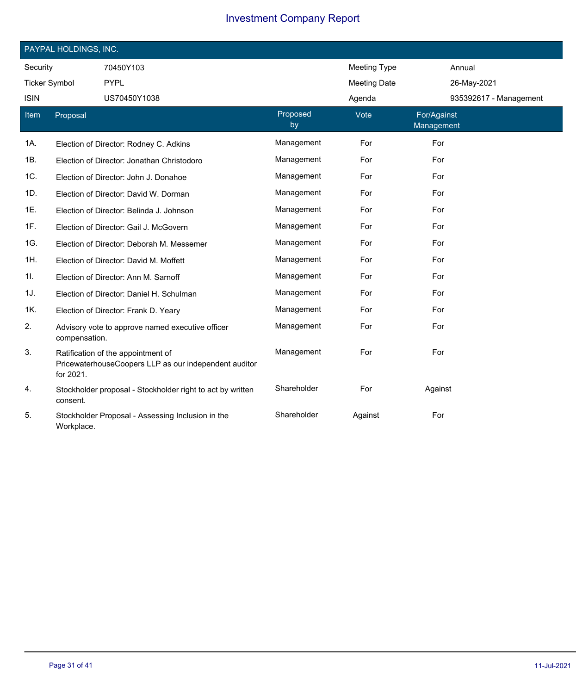|                      | PAYPAL HOLDINGS, INC. |                                                                                             |                |                     |                           |  |  |  |  |
|----------------------|-----------------------|---------------------------------------------------------------------------------------------|----------------|---------------------|---------------------------|--|--|--|--|
| Security             |                       | 70450Y103                                                                                   |                | <b>Meeting Type</b> | Annual                    |  |  |  |  |
| <b>Ticker Symbol</b> |                       | <b>PYPL</b>                                                                                 |                | <b>Meeting Date</b> | 26-May-2021               |  |  |  |  |
| <b>ISIN</b>          |                       | US70450Y1038                                                                                |                | Agenda              | 935392617 - Management    |  |  |  |  |
| Item                 | Proposal              |                                                                                             | Proposed<br>by | Vote                | For/Against<br>Management |  |  |  |  |
| 1A.                  |                       | Election of Director: Rodney C. Adkins                                                      | Management     | For                 | For                       |  |  |  |  |
| 1B.                  |                       | Election of Director: Jonathan Christodoro                                                  | Management     | For                 | For                       |  |  |  |  |
| 1C.                  |                       | Election of Director: John J. Donahoe                                                       | Management     | For                 | For                       |  |  |  |  |
| 1D.                  |                       | Election of Director: David W. Dorman                                                       | Management     | For                 | For                       |  |  |  |  |
| 1E.                  |                       | Election of Director: Belinda J. Johnson                                                    | Management     | For                 | For                       |  |  |  |  |
| 1F.                  |                       | Election of Director: Gail J. McGovern                                                      | Management     | For                 | For                       |  |  |  |  |
| 1G.                  |                       | Election of Director: Deborah M. Messemer                                                   | Management     | For                 | For                       |  |  |  |  |
| 1H.                  |                       | Election of Director: David M. Moffett                                                      | Management     | For                 | For                       |  |  |  |  |
| 11.                  |                       | Election of Director: Ann M. Sarnoff                                                        | Management     | For                 | For                       |  |  |  |  |
| 1J.                  |                       | Election of Director: Daniel H. Schulman                                                    | Management     | For                 | For                       |  |  |  |  |
| 1K.                  |                       | Election of Director: Frank D. Yeary                                                        | Management     | For                 | For                       |  |  |  |  |
| 2.                   | compensation.         | Advisory vote to approve named executive officer                                            | Management     | For                 | For                       |  |  |  |  |
| 3.                   | for 2021.             | Ratification of the appointment of<br>PricewaterhouseCoopers LLP as our independent auditor | Management     | For                 | For                       |  |  |  |  |
| 4.                   | consent.              | Stockholder proposal - Stockholder right to act by written                                  | Shareholder    | For                 | Against                   |  |  |  |  |
| 5.                   | Workplace.            | Stockholder Proposal - Assessing Inclusion in the                                           | Shareholder    | Against             | For                       |  |  |  |  |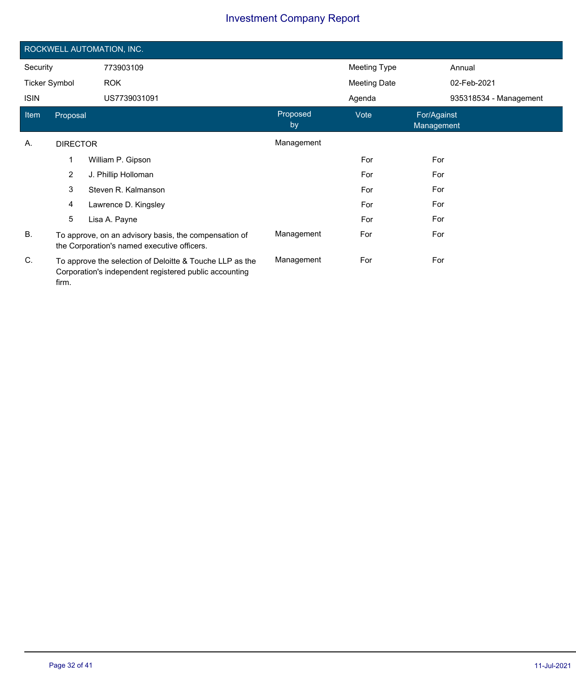|                      | ROCKWELL AUTOMATION, INC.                                                                                                   |                      |                |                     |                           |                        |  |  |
|----------------------|-----------------------------------------------------------------------------------------------------------------------------|----------------------|----------------|---------------------|---------------------------|------------------------|--|--|
| Security             |                                                                                                                             | 773903109            |                | Meeting Type        |                           | Annual                 |  |  |
| <b>Ticker Symbol</b> |                                                                                                                             | <b>ROK</b>           |                | <b>Meeting Date</b> |                           | 02-Feb-2021            |  |  |
| <b>ISIN</b>          |                                                                                                                             | US7739031091         |                | Agenda              |                           | 935318534 - Management |  |  |
| Item                 | Proposal                                                                                                                    |                      | Proposed<br>by | Vote                | For/Against<br>Management |                        |  |  |
| А.                   | <b>DIRECTOR</b>                                                                                                             |                      | Management     |                     |                           |                        |  |  |
|                      | 1                                                                                                                           | William P. Gipson    |                | For                 | For                       |                        |  |  |
|                      | $\overline{2}$                                                                                                              | J. Phillip Holloman  |                | For                 | For                       |                        |  |  |
|                      | 3                                                                                                                           | Steven R. Kalmanson  |                | For                 | For                       |                        |  |  |
|                      | 4                                                                                                                           | Lawrence D. Kingsley |                | For                 | For                       |                        |  |  |
|                      | 5                                                                                                                           | Lisa A. Payne        |                | For                 | For                       |                        |  |  |
| <b>B.</b>            | To approve, on an advisory basis, the compensation of<br>the Corporation's named executive officers.                        |                      | Management     | For                 | For                       |                        |  |  |
| C.                   | To approve the selection of Deloitte & Touche LLP as the<br>Corporation's independent registered public accounting<br>firm. |                      | Management     | For                 | For                       |                        |  |  |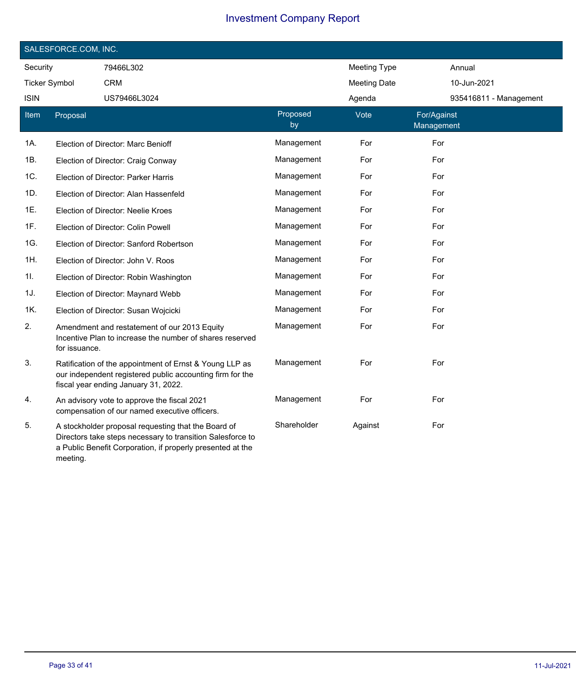|                      | SALESFORCE.COM, INC. |                                                                                                                                                                                 |                |                     |                           |  |  |  |  |
|----------------------|----------------------|---------------------------------------------------------------------------------------------------------------------------------------------------------------------------------|----------------|---------------------|---------------------------|--|--|--|--|
| Security             |                      | 79466L302                                                                                                                                                                       |                | <b>Meeting Type</b> | Annual                    |  |  |  |  |
| <b>Ticker Symbol</b> |                      | <b>CRM</b>                                                                                                                                                                      |                | <b>Meeting Date</b> | 10-Jun-2021               |  |  |  |  |
| <b>ISIN</b>          |                      | US79466L3024                                                                                                                                                                    |                | Agenda              | 935416811 - Management    |  |  |  |  |
| Item                 | Proposal             |                                                                                                                                                                                 | Proposed<br>by | Vote                | For/Against<br>Management |  |  |  |  |
| 1A.                  |                      | Election of Director: Marc Benioff                                                                                                                                              | Management     | For                 | For                       |  |  |  |  |
| 1B.                  |                      | Election of Director: Craig Conway                                                                                                                                              | Management     | For                 | For                       |  |  |  |  |
| 1C.                  |                      | Election of Director: Parker Harris                                                                                                                                             | Management     | For                 | For                       |  |  |  |  |
| 1D.                  |                      | Election of Director: Alan Hassenfeld                                                                                                                                           | Management     | For                 | For                       |  |  |  |  |
| 1E.                  |                      | Election of Director: Neelie Kroes                                                                                                                                              | Management     | For                 | For                       |  |  |  |  |
| 1F.                  |                      | Election of Director: Colin Powell                                                                                                                                              | Management     | For                 | For                       |  |  |  |  |
| 1G.                  |                      | Election of Director: Sanford Robertson                                                                                                                                         | Management     | For                 | For                       |  |  |  |  |
| 1H.                  |                      | Election of Director: John V. Roos                                                                                                                                              | Management     | For                 | For                       |  |  |  |  |
| 1I.                  |                      | Election of Director: Robin Washington                                                                                                                                          | Management     | For                 | For                       |  |  |  |  |
| 1J.                  |                      | Election of Director: Maynard Webb                                                                                                                                              | Management     | For                 | For                       |  |  |  |  |
| 1K.                  |                      | Election of Director: Susan Wojcicki                                                                                                                                            | Management     | For                 | For                       |  |  |  |  |
| 2.                   | for issuance.        | Amendment and restatement of our 2013 Equity<br>Incentive Plan to increase the number of shares reserved                                                                        | Management     | For                 | For                       |  |  |  |  |
| 3.                   |                      | Ratification of the appointment of Ernst & Young LLP as<br>our independent registered public accounting firm for the<br>fiscal year ending January 31, 2022.                    | Management     | For                 | For                       |  |  |  |  |
| 4.                   |                      | An advisory vote to approve the fiscal 2021<br>compensation of our named executive officers.                                                                                    | Management     | For                 | For                       |  |  |  |  |
| 5.                   | meeting.             | A stockholder proposal requesting that the Board of<br>Directors take steps necessary to transition Salesforce to<br>a Public Benefit Corporation, if properly presented at the | Shareholder    | Against             | For                       |  |  |  |  |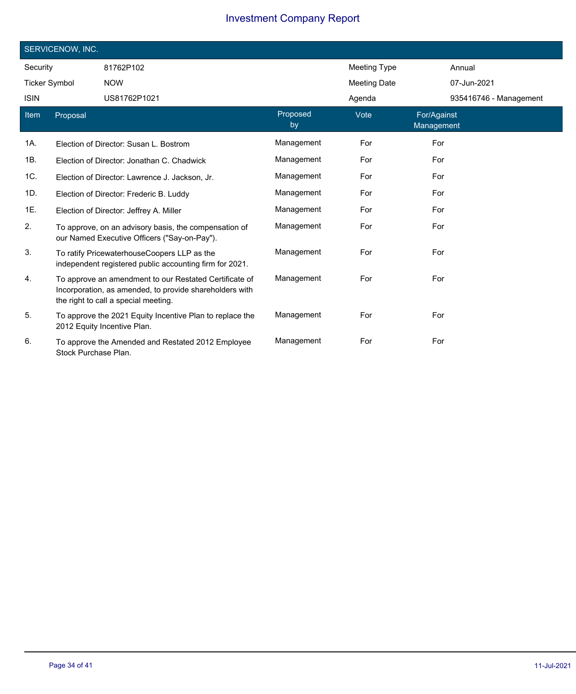|                      | SERVICENOW, INC.     |                                                                                                                                                           |                |                     |                           |  |  |  |  |
|----------------------|----------------------|-----------------------------------------------------------------------------------------------------------------------------------------------------------|----------------|---------------------|---------------------------|--|--|--|--|
| Security             |                      | 81762P102                                                                                                                                                 |                | <b>Meeting Type</b> | Annual                    |  |  |  |  |
| <b>Ticker Symbol</b> |                      | <b>NOW</b>                                                                                                                                                |                | <b>Meeting Date</b> | 07-Jun-2021               |  |  |  |  |
| <b>ISIN</b>          |                      | US81762P1021                                                                                                                                              |                | Agenda              | 935416746 - Management    |  |  |  |  |
| Item                 | Proposal             |                                                                                                                                                           | Proposed<br>by | Vote                | For/Against<br>Management |  |  |  |  |
| 1A.                  |                      | Election of Director: Susan L. Bostrom                                                                                                                    | Management     | For                 | For                       |  |  |  |  |
| 1B.                  |                      | Election of Director: Jonathan C. Chadwick                                                                                                                | Management     | For                 | For                       |  |  |  |  |
| 1C.                  |                      | Election of Director: Lawrence J. Jackson, Jr.                                                                                                            | Management     | For                 | For                       |  |  |  |  |
| 1D.                  |                      | Election of Director: Frederic B. Luddy                                                                                                                   | Management     | For                 | For                       |  |  |  |  |
| 1E.                  |                      | Election of Director: Jeffrey A. Miller                                                                                                                   | Management     | For                 | For                       |  |  |  |  |
| 2.                   |                      | To approve, on an advisory basis, the compensation of<br>our Named Executive Officers ("Say-on-Pay").                                                     | Management     | For                 | For                       |  |  |  |  |
| 3.                   |                      | To ratify PricewaterhouseCoopers LLP as the<br>independent registered public accounting firm for 2021.                                                    | Management     | For                 | For                       |  |  |  |  |
| 4.                   |                      | To approve an amendment to our Restated Certificate of<br>Incorporation, as amended, to provide shareholders with<br>the right to call a special meeting. | Management     | For                 | For                       |  |  |  |  |
| 5.                   |                      | To approve the 2021 Equity Incentive Plan to replace the<br>2012 Equity Incentive Plan.                                                                   | Management     | For                 | For                       |  |  |  |  |
| 6.                   | Stock Purchase Plan. | To approve the Amended and Restated 2012 Employee                                                                                                         | Management     | For                 | For                       |  |  |  |  |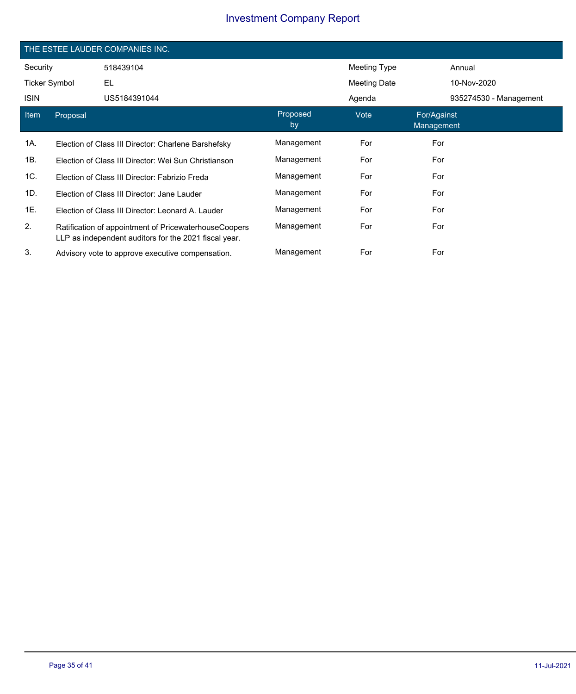|                      | THE ESTEE LAUDER COMPANIES INC. |                                                                                                                |                |              |                           |                        |  |  |
|----------------------|---------------------------------|----------------------------------------------------------------------------------------------------------------|----------------|--------------|---------------------------|------------------------|--|--|
| Security             |                                 | 518439104                                                                                                      |                | Meeting Type |                           | Annual                 |  |  |
| <b>Ticker Symbol</b> |                                 | EL                                                                                                             |                | Meeting Date |                           | 10-Nov-2020            |  |  |
| <b>ISIN</b>          |                                 | US5184391044                                                                                                   |                | Agenda       |                           | 935274530 - Management |  |  |
| Item                 | Proposal                        |                                                                                                                | Proposed<br>by | Vote         | For/Against<br>Management |                        |  |  |
| 1A.                  |                                 | Election of Class III Director: Charlene Barshefsky                                                            | Management     | For          | For                       |                        |  |  |
| 1B.                  |                                 | Election of Class III Director: Wei Sun Christianson                                                           | Management     | For          | For                       |                        |  |  |
| 1C.                  |                                 | Election of Class III Director: Fabrizio Freda                                                                 | Management     | For          | For                       |                        |  |  |
| 1D.                  |                                 | Election of Class III Director: Jane Lauder                                                                    | Management     | For          | For                       |                        |  |  |
| 1E.                  |                                 | Election of Class III Director: Leonard A. Lauder                                                              | Management     | For          | For                       |                        |  |  |
| 2.                   |                                 | Ratification of appointment of PricewaterhouseCoopers<br>LLP as independent auditors for the 2021 fiscal year. | Management     | For          | For                       |                        |  |  |
| 3.                   |                                 | Advisory vote to approve executive compensation.                                                               | Management     | For          | For                       |                        |  |  |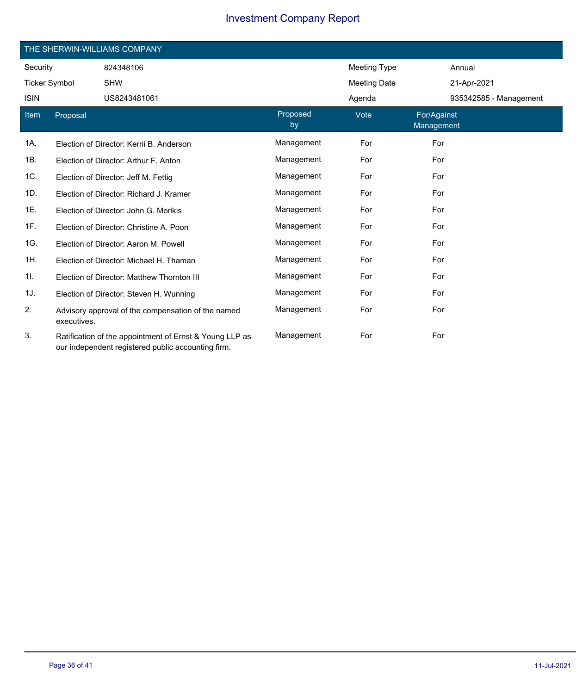| THE SHERWIN-WILLIAMS COMPANY |             |                                                                                                               |                |                     |                           |                        |  |
|------------------------------|-------------|---------------------------------------------------------------------------------------------------------------|----------------|---------------------|---------------------------|------------------------|--|
| Security                     |             | 824348106                                                                                                     |                | Meeting Type        |                           | Annual                 |  |
| <b>Ticker Symbol</b>         |             | <b>SHW</b>                                                                                                    |                | <b>Meeting Date</b> |                           | 21-Apr-2021            |  |
| <b>ISIN</b>                  |             | US8243481061                                                                                                  |                | Agenda              |                           | 935342585 - Management |  |
| Item                         | Proposal    |                                                                                                               | Proposed<br>by | Vote                | For/Against<br>Management |                        |  |
| 1A.                          |             | Election of Director: Kerrii B. Anderson                                                                      | Management     | For                 | For                       |                        |  |
| 1B.                          |             | Election of Director: Arthur F. Anton                                                                         | Management     | For                 | For                       |                        |  |
| 1C.                          |             | Election of Director: Jeff M. Fettig                                                                          | Management     | For                 | For                       |                        |  |
| 1D.                          |             | Election of Director: Richard J. Kramer                                                                       | Management     | For                 | For                       |                        |  |
| 1E.                          |             | Election of Director: John G. Morikis                                                                         | Management     | For                 | For                       |                        |  |
| 1F.                          |             | Election of Director: Christine A. Poon                                                                       | Management     | For                 | For                       |                        |  |
| 1G.                          |             | Election of Director: Aaron M. Powell                                                                         | Management     | For                 | For                       |                        |  |
| 1H.                          |             | Election of Director: Michael H. Thaman                                                                       | Management     | For                 | For                       |                        |  |
| 11.                          |             | Election of Director: Matthew Thornton III                                                                    | Management     | For                 | For                       |                        |  |
| 1J.                          |             | Election of Director: Steven H. Wunning                                                                       | Management     | For                 | For                       |                        |  |
| 2.                           | executives. | Advisory approval of the compensation of the named                                                            | Management     | For                 | For                       |                        |  |
| 3.                           |             | Ratification of the appointment of Ernst & Young LLP as<br>our independent registered public accounting firm. | Management     | For                 | For                       |                        |  |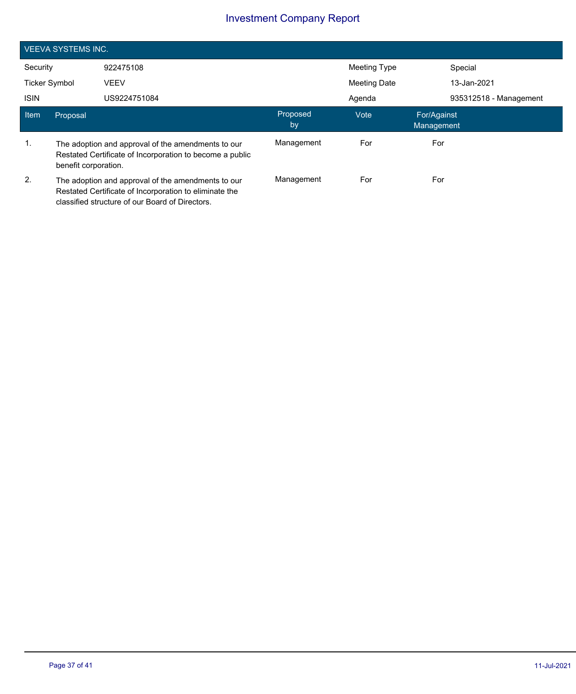|                      | <b>VEEVA SYSTEMS INC.</b>                                                                                                                                       |                                                                                                                |                |                     |                           |  |
|----------------------|-----------------------------------------------------------------------------------------------------------------------------------------------------------------|----------------------------------------------------------------------------------------------------------------|----------------|---------------------|---------------------------|--|
| Security             |                                                                                                                                                                 | 922475108                                                                                                      |                | Meeting Type        | Special                   |  |
| <b>Ticker Symbol</b> |                                                                                                                                                                 | <b>VEEV</b>                                                                                                    |                | <b>Meeting Date</b> | 13-Jan-2021               |  |
| <b>ISIN</b>          |                                                                                                                                                                 | US9224751084                                                                                                   |                | Agenda              | 935312518 - Management    |  |
| Item                 | Proposal                                                                                                                                                        |                                                                                                                | Proposed<br>by | Vote                | For/Against<br>Management |  |
| $\mathbf{1}$ .       | benefit corporation.                                                                                                                                            | The adoption and approval of the amendments to our<br>Restated Certificate of Incorporation to become a public | Management     | For                 | For                       |  |
| 2.                   | The adoption and approval of the amendments to our<br>Restated Certificate of Incorporation to eliminate the<br>classified structure of our Board of Directors. |                                                                                                                | Management     | For                 | For                       |  |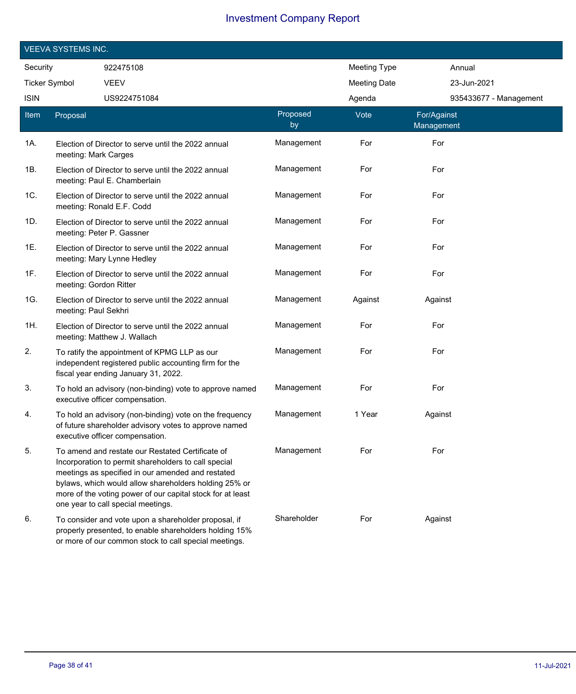| <b>VEEVA SYSTEMS INC.</b> |                        |                                                                                                                                                                                                                                                                                                                            |                |                     |                           |  |
|---------------------------|------------------------|----------------------------------------------------------------------------------------------------------------------------------------------------------------------------------------------------------------------------------------------------------------------------------------------------------------------------|----------------|---------------------|---------------------------|--|
| Security                  |                        | 922475108                                                                                                                                                                                                                                                                                                                  |                | <b>Meeting Type</b> | Annual                    |  |
| <b>Ticker Symbol</b>      |                        | <b>VEEV</b>                                                                                                                                                                                                                                                                                                                |                | <b>Meeting Date</b> | 23-Jun-2021               |  |
| <b>ISIN</b>               |                        | US9224751084                                                                                                                                                                                                                                                                                                               |                | Agenda              | 935433677 - Management    |  |
| Item                      | Proposal               |                                                                                                                                                                                                                                                                                                                            | Proposed<br>by | Vote                | For/Against<br>Management |  |
| 1A.                       | meeting: Mark Carges   | Election of Director to serve until the 2022 annual                                                                                                                                                                                                                                                                        | Management     | For                 | For                       |  |
| 1B.                       |                        | Election of Director to serve until the 2022 annual<br>meeting: Paul E. Chamberlain                                                                                                                                                                                                                                        | Management     | For                 | For                       |  |
| 1C.                       |                        | Election of Director to serve until the 2022 annual<br>meeting: Ronald E.F. Codd                                                                                                                                                                                                                                           | Management     | For                 | For                       |  |
| 1D.                       |                        | Election of Director to serve until the 2022 annual<br>meeting: Peter P. Gassner                                                                                                                                                                                                                                           | Management     | For                 | For                       |  |
| 1E.                       |                        | Election of Director to serve until the 2022 annual<br>meeting: Mary Lynne Hedley                                                                                                                                                                                                                                          | Management     | For                 | For                       |  |
| 1F.                       | meeting: Gordon Ritter | Election of Director to serve until the 2022 annual                                                                                                                                                                                                                                                                        | Management     | For                 | For                       |  |
| 1G.                       | meeting: Paul Sekhri   | Election of Director to serve until the 2022 annual                                                                                                                                                                                                                                                                        | Management     | Against             | Against                   |  |
| 1H.                       |                        | Election of Director to serve until the 2022 annual<br>meeting: Matthew J. Wallach                                                                                                                                                                                                                                         | Management     | For                 | For                       |  |
| 2.                        |                        | To ratify the appointment of KPMG LLP as our<br>independent registered public accounting firm for the<br>fiscal year ending January 31, 2022.                                                                                                                                                                              | Management     | For                 | For                       |  |
| 3.                        |                        | To hold an advisory (non-binding) vote to approve named<br>executive officer compensation.                                                                                                                                                                                                                                 | Management     | For                 | For                       |  |
| 4.                        |                        | To hold an advisory (non-binding) vote on the frequency<br>of future shareholder advisory votes to approve named<br>executive officer compensation.                                                                                                                                                                        | Management     | 1 Year              | Against                   |  |
| 5.                        |                        | To amend and restate our Restated Certificate of<br>Incorporation to permit shareholders to call special<br>meetings as specified in our amended and restated<br>bylaws, which would allow shareholders holding 25% or<br>more of the voting power of our capital stock for at least<br>one year to call special meetings. | Management     | For                 | For                       |  |
| 6.                        |                        | To consider and vote upon a shareholder proposal, if<br>properly presented, to enable shareholders holding 15%<br>or more of our common stock to call special meetings.                                                                                                                                                    | Shareholder    | For                 | Against                   |  |

I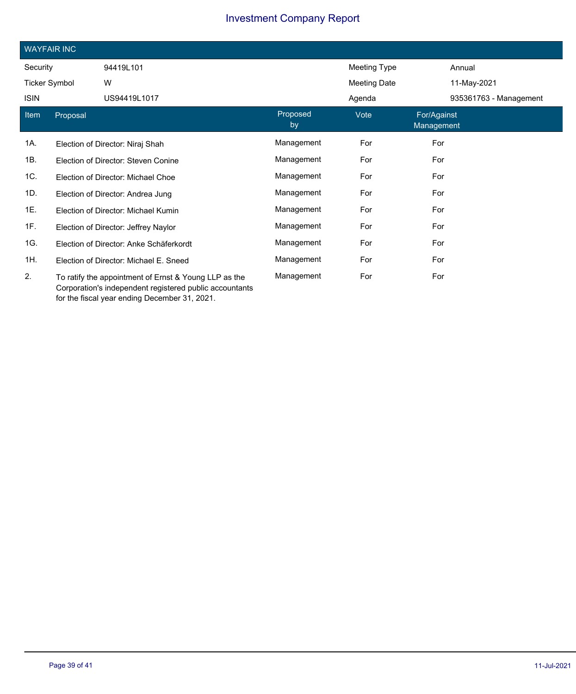| <b>WAYFAIR INC</b>   |          |                                                                                                                  |                |                     |                           |                        |  |
|----------------------|----------|------------------------------------------------------------------------------------------------------------------|----------------|---------------------|---------------------------|------------------------|--|
| Security             |          | 94419L101                                                                                                        |                | <b>Meeting Type</b> |                           | Annual                 |  |
| <b>Ticker Symbol</b> |          | W                                                                                                                |                | Meeting Date        |                           | 11-May-2021            |  |
| <b>ISIN</b>          |          | US94419L1017                                                                                                     |                | Agenda              |                           | 935361763 - Management |  |
| Item                 | Proposal |                                                                                                                  | Proposed<br>by | Vote                | For/Against<br>Management |                        |  |
| 1A.                  |          | Election of Director: Niraj Shah                                                                                 | Management     | For                 | For                       |                        |  |
| 1B.                  |          | Election of Director: Steven Conine                                                                              | Management     | For                 | For                       |                        |  |
| 1C.                  |          | Election of Director: Michael Choe                                                                               | Management     | For                 | For                       |                        |  |
| 1D.                  |          | Election of Director: Andrea Jung                                                                                | Management     | For                 | For                       |                        |  |
| 1E.                  |          | Election of Director: Michael Kumin                                                                              | Management     | For                 | For                       |                        |  |
| 1F.                  |          | Election of Director: Jeffrey Naylor                                                                             | Management     | For                 | For                       |                        |  |
| 1G.                  |          | Election of Director: Anke Schäferkordt                                                                          | Management     | For                 | For                       |                        |  |
| 1H.                  |          | Election of Director: Michael E. Sneed                                                                           | Management     | For                 | For                       |                        |  |
| 2.                   |          | To ratify the appointment of Ernst & Young LLP as the<br>Corporation's independent registered public accountants | Management     | For                 | For                       |                        |  |

for the fiscal year ending December 31, 2021.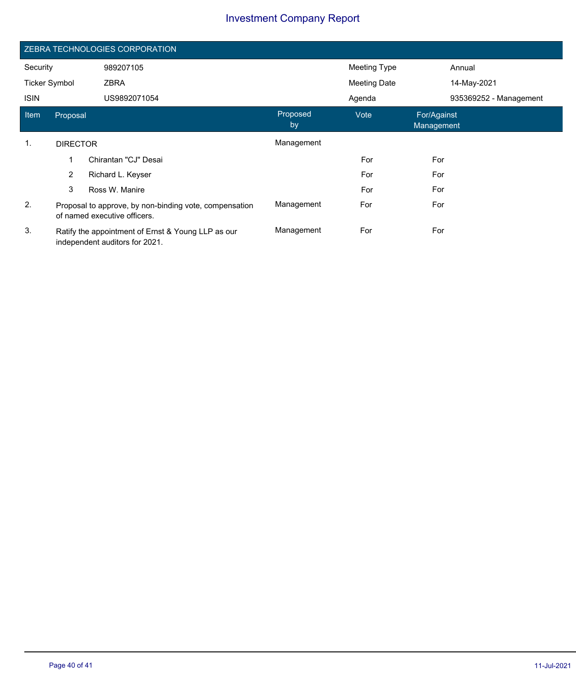| ZEBRA TECHNOLOGIES CORPORATION |                                                                                        |                      |                |                     |                           |                        |
|--------------------------------|----------------------------------------------------------------------------------------|----------------------|----------------|---------------------|---------------------------|------------------------|
| Security                       |                                                                                        | 989207105            |                | Meeting Type        |                           | Annual                 |
| <b>Ticker Symbol</b>           |                                                                                        | <b>ZBRA</b>          |                | <b>Meeting Date</b> |                           | 14-May-2021            |
| <b>ISIN</b>                    |                                                                                        | US9892071054         |                | Agenda              |                           | 935369252 - Management |
| Item                           | Proposal                                                                               |                      | Proposed<br>by | Vote                | For/Against<br>Management |                        |
| 1.                             | <b>DIRECTOR</b>                                                                        |                      | Management     |                     |                           |                        |
|                                | 1                                                                                      | Chirantan "CJ" Desai |                | For                 | For                       |                        |
|                                | $\overline{2}$                                                                         | Richard L. Keyser    |                | For                 | For                       |                        |
|                                | 3                                                                                      | Ross W. Manire       |                | For                 | For                       |                        |
| 2.                             | Proposal to approve, by non-binding vote, compensation<br>of named executive officers. |                      | Management     | For                 | For                       |                        |
| 3.                             | Ratify the appointment of Ernst & Young LLP as our<br>independent auditors for 2021.   |                      | Management     | For                 | For                       |                        |